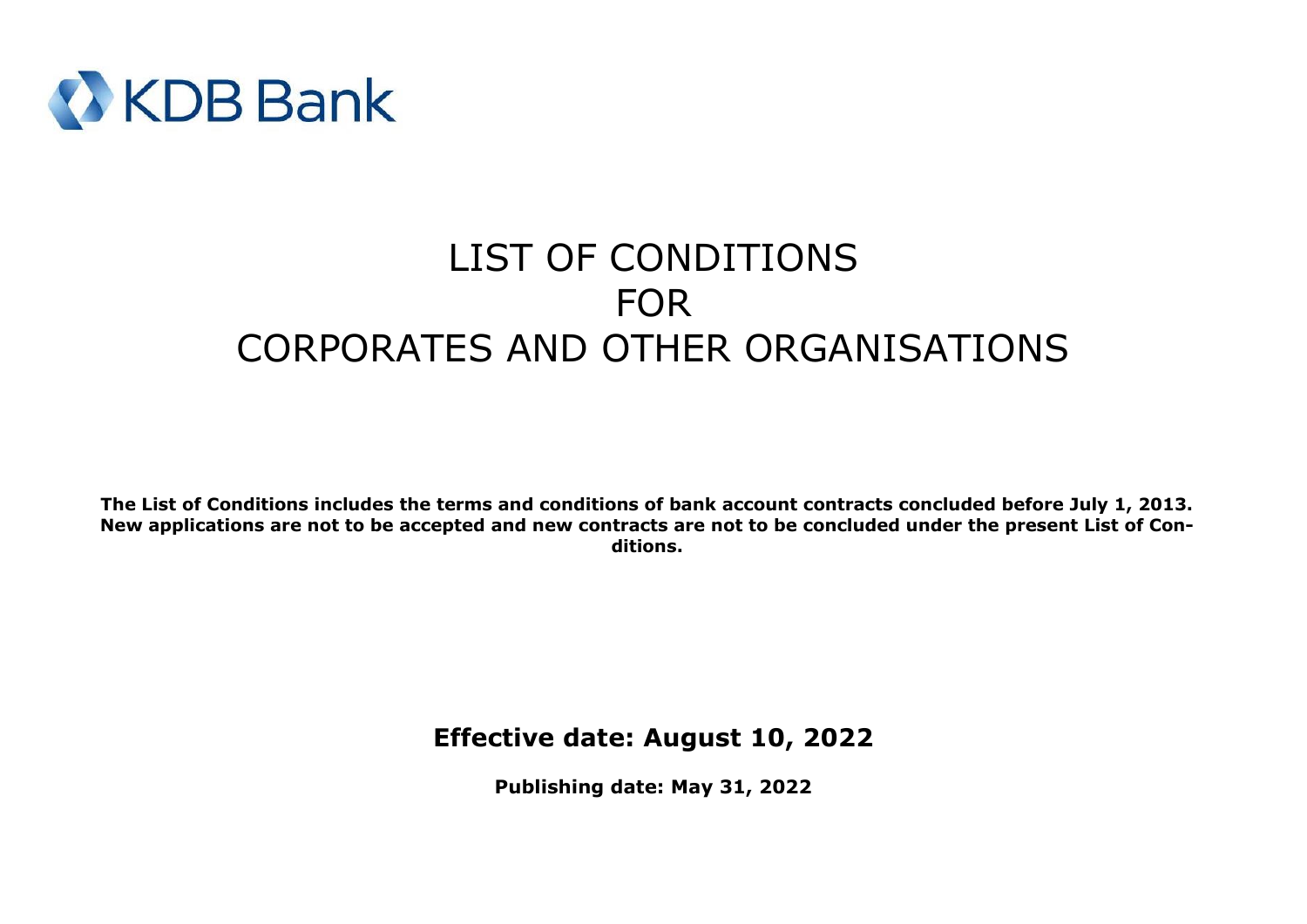

# LIST OF CONDITIONS FOR CORPORATES AND OTHER ORGANISATIONS

**The List of Conditions includes the terms and conditions of bank account contracts concluded before July 1, 2013. New applications are not to be accepted and new contracts are not to be concluded under the present List of Conditions.**

**Effective date: August 10, 2022**

**Publishing date: May 31, 2022**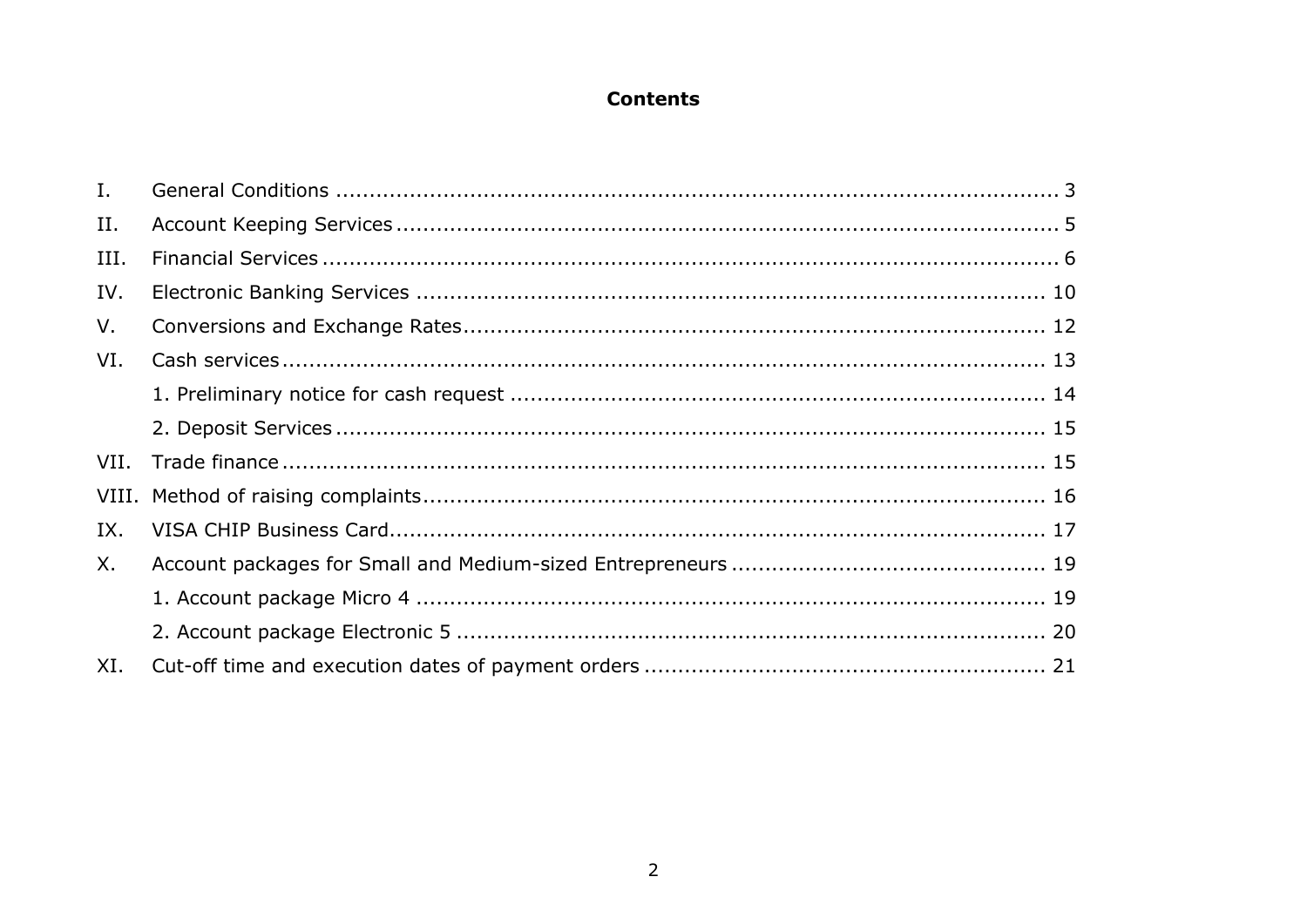# **Contents**

| $I_{\cdot}$ |  |
|-------------|--|
| II.         |  |
| III.        |  |
| IV.         |  |
| V.          |  |
| VI.         |  |
|             |  |
|             |  |
| VII.        |  |
| VIII.       |  |
| IX.         |  |
| X.          |  |
|             |  |
|             |  |
| XI.         |  |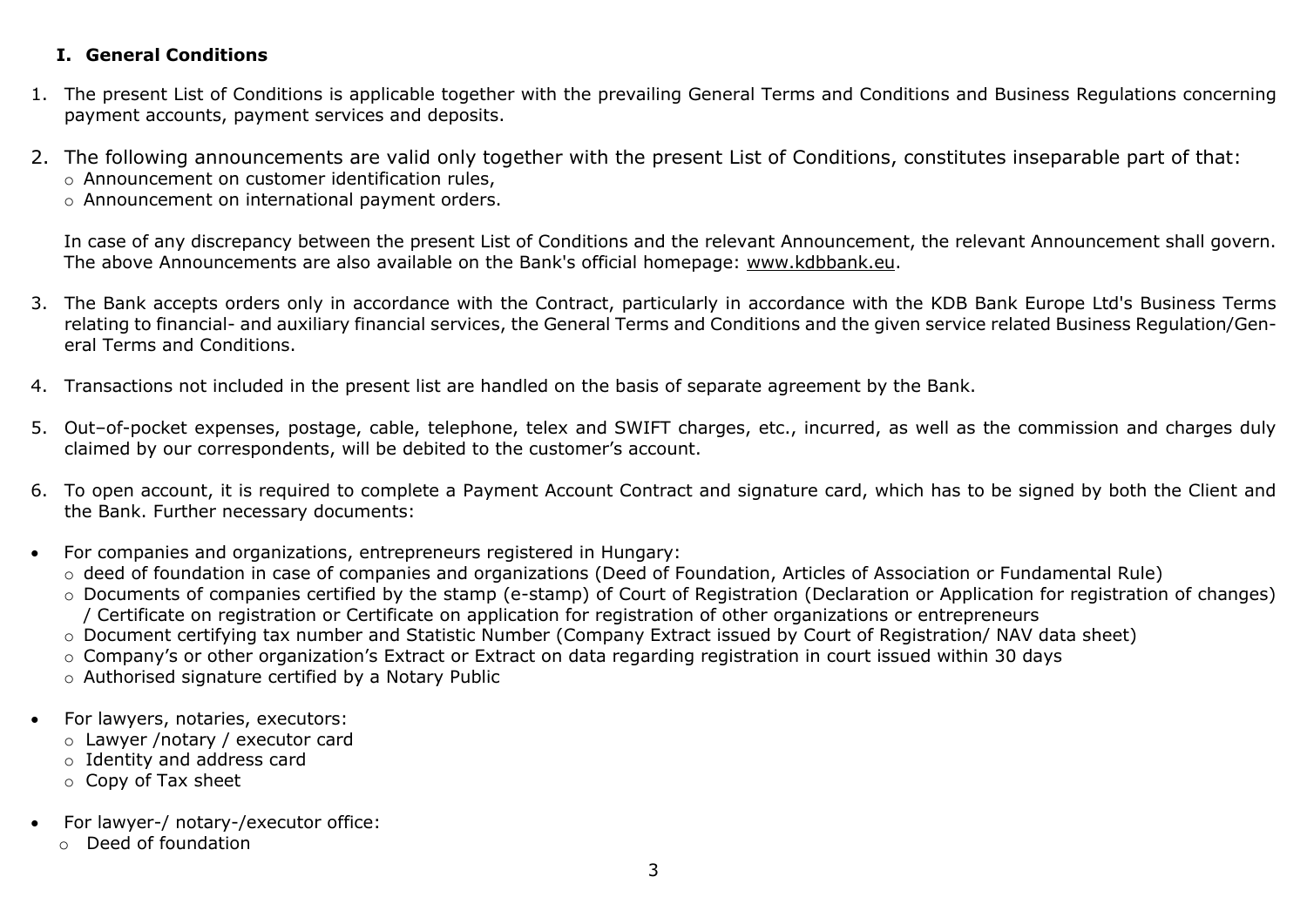# <span id="page-2-0"></span>**I. General Conditions**

- 1. The present List of Conditions is applicable together with the prevailing General Terms and Conditions and Business Regulations concerning payment accounts, payment services and deposits.
- 2. The following announcements are valid only together with the present List of Conditions, constitutes inseparable part of that: o Announcement on customer identification rules,
	- o Announcement on international payment orders.

In case of any discrepancy between the present List of Conditions and the relevant Announcement, the relevant Announcement shall govern. The above Announcements are also available on the Bank's official homepage: [www.kdbbank.eu.](http://www.kdbbank.eu/)

- 3. The Bank accepts orders only in accordance with the Contract, particularly in accordance with the KDB Bank Europe Ltd's Business Terms relating to financial- and auxiliary financial services, the General Terms and Conditions and the given service related Business Regulation/General Terms and Conditions.
- 4. Transactions not included in the present list are handled on the basis of separate agreement by the Bank.
- 5. Out–of-pocket expenses, postage, cable, telephone, telex and SWIFT charges, etc., incurred, as well as the commission and charges duly claimed by our correspondents, will be debited to the customer's account.
- 6. To open account, it is required to complete a Payment Account Contract and signature card, which has to be signed by both the Client and the Bank. Further necessary documents:
- For companies and organizations, entrepreneurs registered in Hungary:
	- o deed of foundation in case of companies and organizations (Deed of Foundation, Articles of Association or Fundamental Rule)
	- o Documents of companies certified by the stamp (e-stamp) of Court of Registration (Declaration or Application for registration of changes) / Certificate on registration or Certificate on application for registration of other organizations or entrepreneurs
	- o Document certifying tax number and Statistic Number (Company Extract issued by Court of Registration/ NAV data sheet)
	- o Company's or other organization's Extract or Extract on data regarding registration in court issued within 30 days
	- o Authorised signature certified by a Notary Public
- For lawyers, notaries, executors:
	- o Lawyer /notary / executor card
	- o Identity and address card
	- o Copy of Tax sheet
- For lawyer-/ notary-/executor office:
	- o Deed of foundation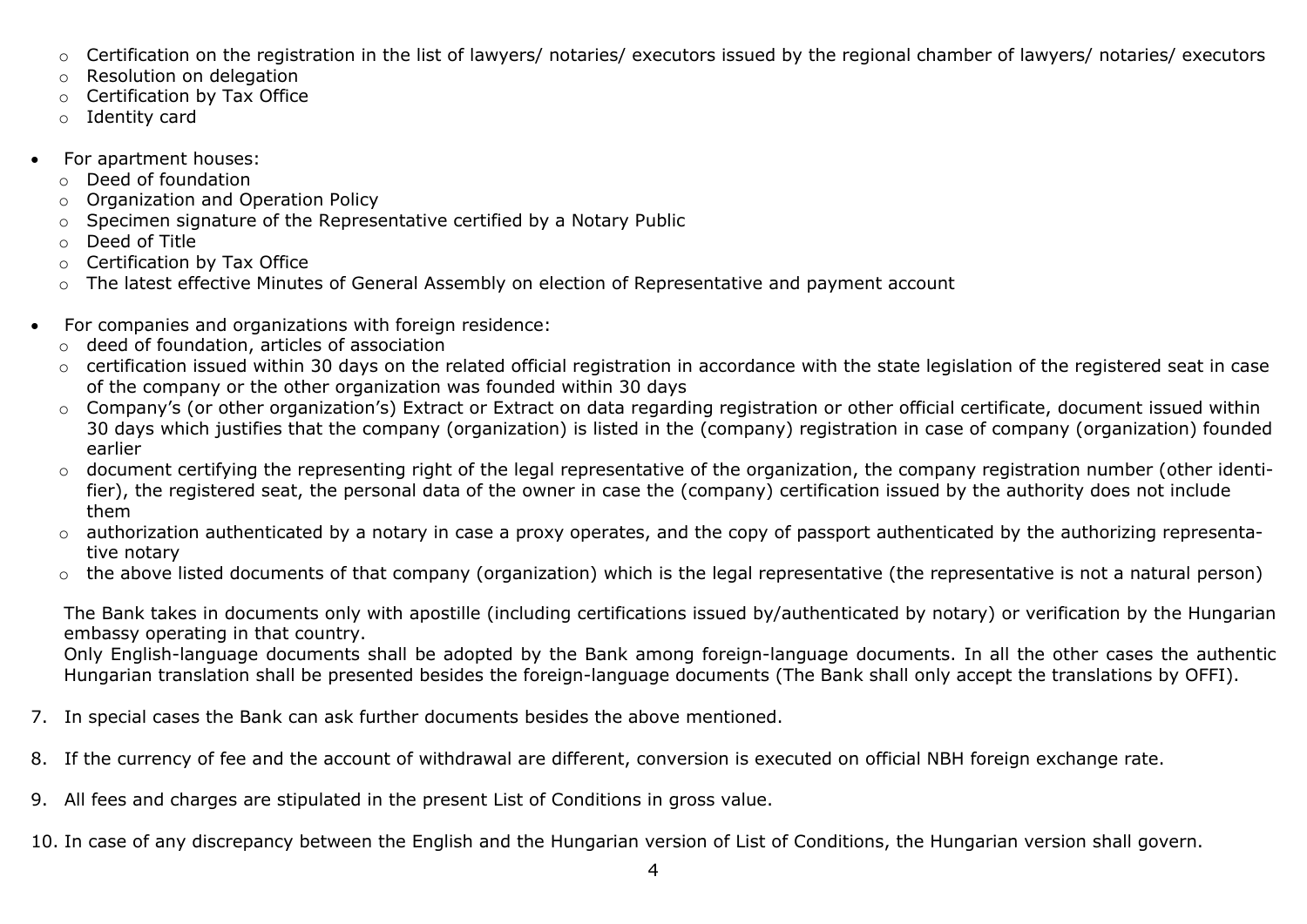- o Certification on the registration in the list of lawyers/ notaries/ executors issued by the regional chamber of lawyers/ notaries/ executors
- o Resolution on delegation
- o Certification by Tax Office
- o Identity card
- For apartment houses:
	- o Deed of foundation
	- o Organization and Operation Policy
	- o Specimen signature of the Representative certified by a Notary Public
	- o Deed of Title
	- o Certification by Tax Office
	- o The latest effective Minutes of General Assembly on election of Representative and payment account
- For companies and organizations with foreign residence:
	- o deed of foundation, articles of association
	- o certification issued within 30 days on the related official registration in accordance with the state legislation of the registered seat in case of the company or the other organization was founded within 30 days
	- o Company's (or other organization's) Extract or Extract on data regarding registration or other official certificate, document issued within 30 days which justifies that the company (organization) is listed in the (company) registration in case of company (organization) founded earlier
	- o document certifying the representing right of the legal representative of the organization, the company registration number (other identifier), the registered seat, the personal data of the owner in case the (company) certification issued by the authority does not include them
	- $\circ$  authorization authenticated by a notary in case a proxy operates, and the copy of passport authenticated by the authorizing representative notary
	- $\circ$  the above listed documents of that company (organization) which is the legal representative (the representative is not a natural person)

The Bank takes in documents only with apostille (including certifications issued by/authenticated by notary) or verification by the Hungarian embassy operating in that country.

Only English-language documents shall be adopted by the Bank among foreign-language documents. In all the other cases the authentic Hungarian translation shall be presented besides the foreign-language documents (The Bank shall only accept the translations by OFFI).

- 7. In special cases the Bank can ask further documents besides the above mentioned.
- 8. If the currency of fee and the account of withdrawal are different, conversion is executed on official NBH foreign exchange rate.
- 9. All fees and charges are stipulated in the present List of Conditions in gross value.

10. In case of any discrepancy between the English and the Hungarian version of List of Conditions, the Hungarian version shall govern.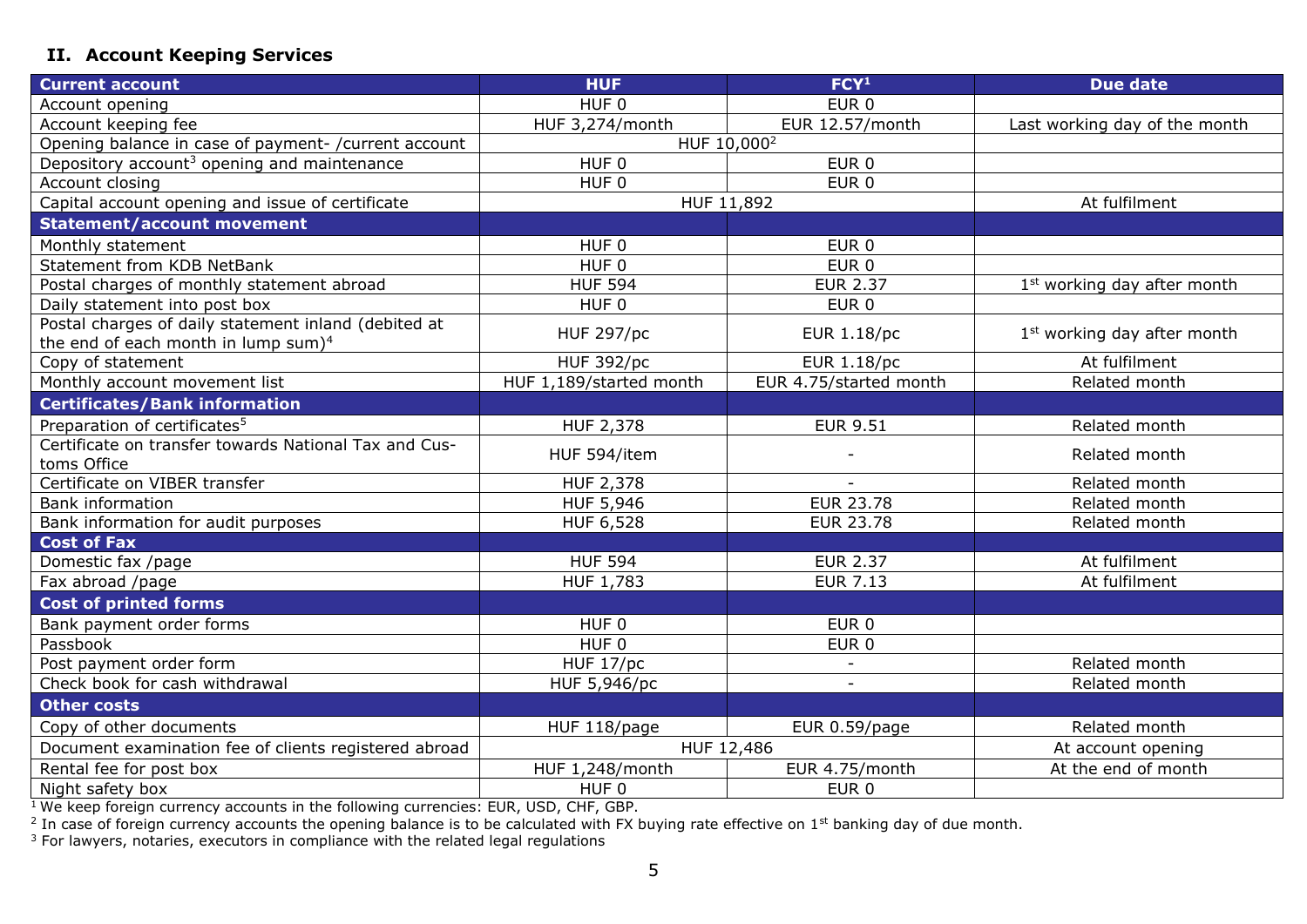# <span id="page-4-0"></span>**II. Account Keeping Services**

| <b>Current account</b>                                  | <b>HUF</b>              | FCY <sup>1</sup>       | <b>Due date</b>                         |
|---------------------------------------------------------|-------------------------|------------------------|-----------------------------------------|
| Account opening                                         | HUF <sub>0</sub>        | EUR <sub>0</sub>       |                                         |
| Account keeping fee                                     | HUF 3,274/month         | EUR 12.57/month        | Last working day of the month           |
| Opening balance in case of payment- / current account   | HUF 10,000 <sup>2</sup> |                        |                                         |
| Depository account <sup>3</sup> opening and maintenance | HUF <sub>0</sub>        | EUR <sub>0</sub>       |                                         |
| Account closing                                         | HUF 0                   | EUR <sub>0</sub>       |                                         |
| Capital account opening and issue of certificate        | HUF 11,892              |                        | At fulfilment                           |
| <b>Statement/account movement</b>                       |                         |                        |                                         |
| Monthly statement                                       | HUF <sub>0</sub>        | EUR <sub>0</sub>       |                                         |
| Statement from KDB NetBank                              | HUF 0                   | EUR <sub>0</sub>       |                                         |
| Postal charges of monthly statement abroad              | <b>HUF 594</b>          | <b>EUR 2.37</b>        | 1 <sup>st</sup> working day after month |
| Daily statement into post box                           | HUF <sub>0</sub>        | EUR <sub>0</sub>       |                                         |
| Postal charges of daily statement inland (debited at    | <b>HUF 297/pc</b>       | <b>EUR 1.18/pc</b>     | 1 <sup>st</sup> working day after month |
| the end of each month in lump sum $)^4$                 |                         |                        |                                         |
| Copy of statement                                       | <b>HUF 392/pc</b>       | <b>EUR 1.18/pc</b>     | At fulfilment                           |
| Monthly account movement list                           | HUF 1,189/started month | EUR 4.75/started month | Related month                           |
| <b>Certificates/Bank information</b>                    |                         |                        |                                         |
| Preparation of certificates <sup>5</sup>                | <b>HUF 2,378</b>        | <b>EUR 9.51</b>        | Related month                           |
| Certificate on transfer towards National Tax and Cus-   | HUF 594/item            |                        | Related month                           |
| toms Office                                             |                         |                        |                                         |
| Certificate on VIBER transfer                           | HUF 2,378               |                        | Related month                           |
| <b>Bank information</b>                                 | HUF 5,946               | <b>EUR 23.78</b>       | Related month                           |
| Bank information for audit purposes                     | HUF 6,528               | <b>EUR 23.78</b>       | Related month                           |
| <b>Cost of Fax</b>                                      |                         |                        |                                         |
| Domestic fax /page                                      | <b>HUF 594</b>          | <b>EUR 2.37</b>        | At fulfilment                           |
| Fax abroad /page                                        | HUF 1,783               | <b>EUR 7.13</b>        | At fulfilment                           |
| <b>Cost of printed forms</b>                            |                         |                        |                                         |
| Bank payment order forms                                | HUF <sub>0</sub>        | EUR <sub>0</sub>       |                                         |
| Passbook                                                | HUF <sub>0</sub>        | EUR <sub>0</sub>       |                                         |
| Post payment order form                                 | <b>HUF 17/pc</b>        |                        | Related month                           |
| Check book for cash withdrawal                          | HUF 5,946/pc            |                        | Related month                           |
| <b>Other costs</b>                                      |                         |                        |                                         |
| Copy of other documents                                 | HUF 118/page            | EUR 0.59/page          | Related month                           |
| Document examination fee of clients registered abroad   | HUF 12,486              |                        | At account opening                      |
| Rental fee for post box                                 | HUF 1,248/month         | EUR 4.75/month         | At the end of month                     |
| Night safety box                                        | HUF 0                   | EUR <sub>0</sub>       |                                         |

<sup>1</sup> We keep foreign currency accounts in the following currencies: EUR, USD, CHF, GBP.<br><sup>2</sup> In case of foreign currency accounts the opening balance is to be calculated with FX buying rate effective on 1st banking day of du

 $3$  For lawyers, notaries, executors in compliance with the related legal regulations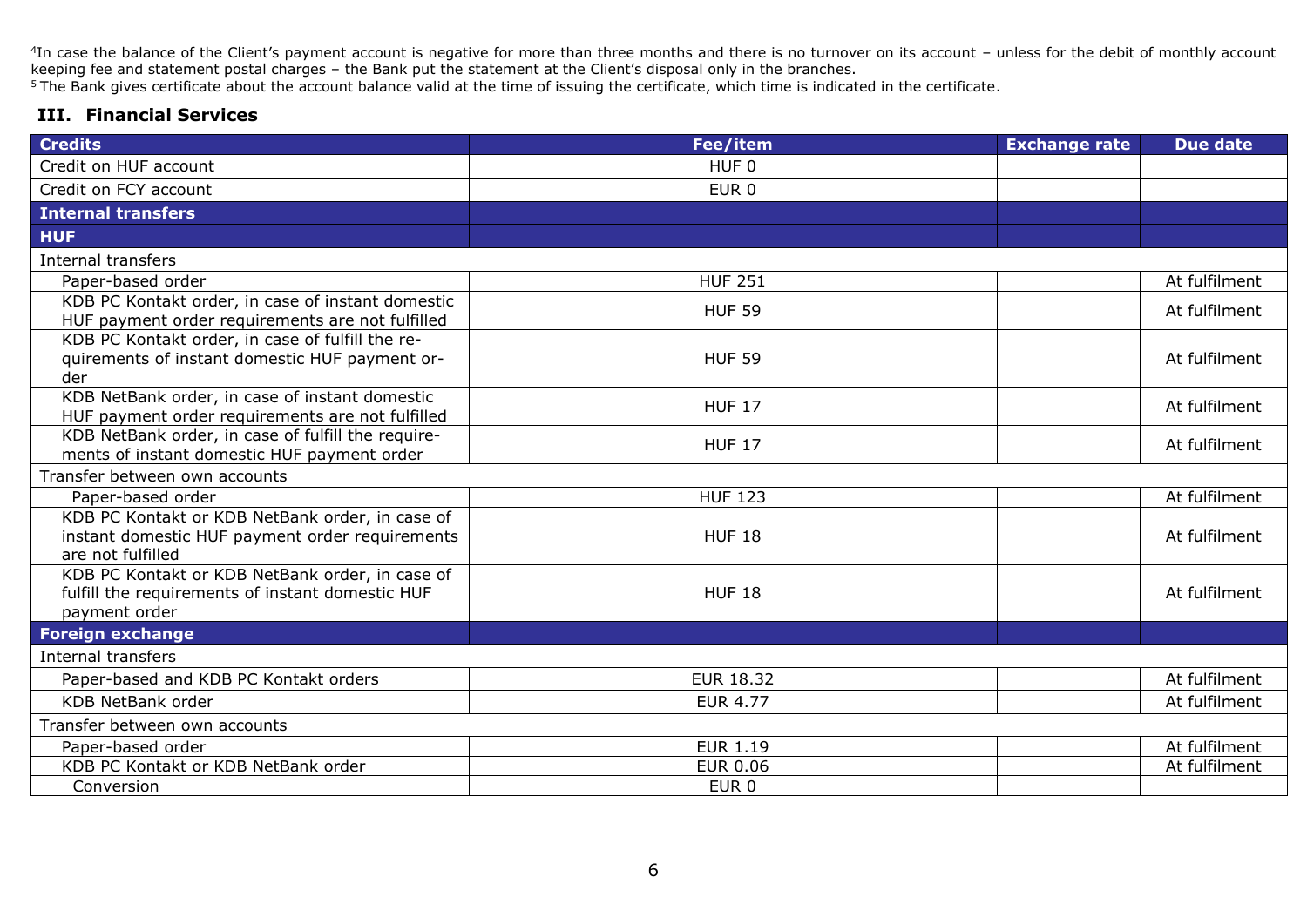<sup>4</sup>In case the balance of the Client's payment account is negative for more than three months and there is no turnover on its account – unless for the debit of monthly account keeping fee and statement postal charges – the Bank put the statement at the Client's disposal only in the branches.

<sup>5</sup>The Bank gives certificate about the account balance valid at the time of issuing the certificate, which time is indicated in the certificate.

#### <span id="page-5-0"></span>**III. Financial Services**

| <b>Credits</b>                                                                                                          | Fee/item         | <b>Exchange rate</b> | <b>Due date</b> |  |
|-------------------------------------------------------------------------------------------------------------------------|------------------|----------------------|-----------------|--|
| Credit on HUF account                                                                                                   | HUF <sub>0</sub> |                      |                 |  |
| Credit on FCY account                                                                                                   | EUR <sub>0</sub> |                      |                 |  |
| <b>Internal transfers</b>                                                                                               |                  |                      |                 |  |
| <b>HUF</b>                                                                                                              |                  |                      |                 |  |
| Internal transfers                                                                                                      |                  |                      |                 |  |
| Paper-based order                                                                                                       | <b>HUF 251</b>   |                      | At fulfilment   |  |
| KDB PC Kontakt order, in case of instant domestic<br>HUF payment order requirements are not fulfilled                   | <b>HUF 59</b>    |                      | At fulfilment   |  |
| KDB PC Kontakt order, in case of fulfill the re-<br>quirements of instant domestic HUF payment or-<br>der               | <b>HUF 59</b>    |                      | At fulfilment   |  |
| KDB NetBank order, in case of instant domestic<br>HUF payment order requirements are not fulfilled                      | <b>HUF 17</b>    |                      | At fulfilment   |  |
| KDB NetBank order, in case of fulfill the require-<br>ments of instant domestic HUF payment order                       | <b>HUF 17</b>    |                      | At fulfilment   |  |
| Transfer between own accounts                                                                                           |                  |                      |                 |  |
| Paper-based order                                                                                                       | <b>HUF 123</b>   |                      | At fulfilment   |  |
| KDB PC Kontakt or KDB NetBank order, in case of<br>instant domestic HUF payment order requirements<br>are not fulfilled | <b>HUF 18</b>    |                      | At fulfilment   |  |
| KDB PC Kontakt or KDB NetBank order, in case of<br>fulfill the requirements of instant domestic HUF<br>payment order    | <b>HUF 18</b>    |                      | At fulfilment   |  |
| <b>Foreign exchange</b>                                                                                                 |                  |                      |                 |  |
| <b>Internal transfers</b>                                                                                               |                  |                      |                 |  |
| Paper-based and KDB PC Kontakt orders                                                                                   | <b>EUR 18.32</b> |                      | At fulfilment   |  |
| <b>KDB NetBank order</b>                                                                                                | <b>EUR 4.77</b>  |                      | At fulfilment   |  |
| Transfer between own accounts                                                                                           |                  |                      |                 |  |
| Paper-based order                                                                                                       | <b>EUR 1.19</b>  |                      | At fulfilment   |  |
| KDB PC Kontakt or KDB NetBank order                                                                                     | <b>EUR 0.06</b>  |                      | At fulfilment   |  |
| Conversion                                                                                                              | EUR 0            |                      |                 |  |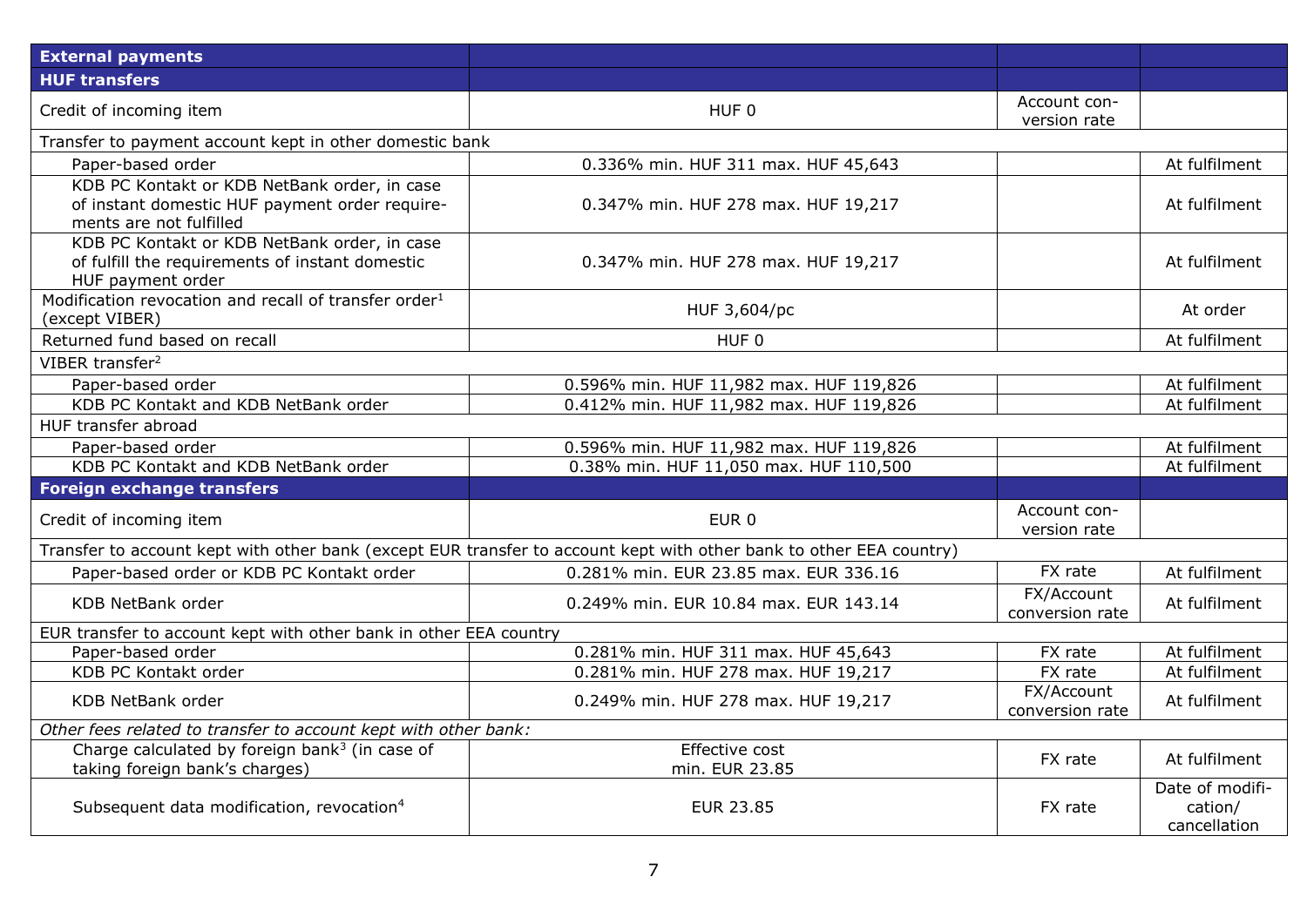| <b>External payments</b>                                                                                                  |                                                                                                                     |                               |                                            |  |
|---------------------------------------------------------------------------------------------------------------------------|---------------------------------------------------------------------------------------------------------------------|-------------------------------|--------------------------------------------|--|
| <b>HUF transfers</b>                                                                                                      |                                                                                                                     |                               |                                            |  |
| Credit of incoming item                                                                                                   | HUF 0                                                                                                               | Account con-<br>version rate  |                                            |  |
| Transfer to payment account kept in other domestic bank                                                                   |                                                                                                                     |                               |                                            |  |
| Paper-based order                                                                                                         | 0.336% min. HUF 311 max. HUF 45,643                                                                                 |                               | At fulfilment                              |  |
| KDB PC Kontakt or KDB NetBank order, in case<br>of instant domestic HUF payment order require-<br>ments are not fulfilled | 0.347% min. HUF 278 max. HUF 19,217                                                                                 |                               | At fulfilment                              |  |
| KDB PC Kontakt or KDB NetBank order, in case<br>of fulfill the requirements of instant domestic<br>HUF payment order      | 0.347% min. HUF 278 max. HUF 19,217                                                                                 |                               | At fulfilment                              |  |
| Modification revocation and recall of transfer order <sup>1</sup><br>(except VIBER)                                       | HUF 3,604/pc                                                                                                        |                               | At order                                   |  |
| Returned fund based on recall                                                                                             | HUF 0                                                                                                               |                               | At fulfilment                              |  |
| VIBER transfer <sup>2</sup>                                                                                               |                                                                                                                     |                               |                                            |  |
| Paper-based order                                                                                                         | 0.596% min. HUF 11,982 max. HUF 119,826                                                                             |                               | At fulfilment                              |  |
| KDB PC Kontakt and KDB NetBank order                                                                                      | 0.412% min. HUF 11,982 max. HUF 119,826                                                                             |                               | At fulfilment                              |  |
| HUF transfer abroad                                                                                                       |                                                                                                                     |                               |                                            |  |
| Paper-based order                                                                                                         | 0.596% min. HUF 11,982 max. HUF 119,826                                                                             |                               | At fulfilment                              |  |
| KDB PC Kontakt and KDB NetBank order                                                                                      | 0.38% min. HUF 11,050 max. HUF 110,500                                                                              |                               | At fulfilment                              |  |
| Foreign exchange transfers                                                                                                |                                                                                                                     |                               |                                            |  |
| Credit of incoming item                                                                                                   | EUR <sub>0</sub>                                                                                                    | Account con-<br>version rate  |                                            |  |
|                                                                                                                           | Transfer to account kept with other bank (except EUR transfer to account kept with other bank to other EEA country) |                               |                                            |  |
| Paper-based order or KDB PC Kontakt order                                                                                 | 0.281% min. EUR 23.85 max. EUR 336.16                                                                               | FX rate                       | At fulfilment                              |  |
| <b>KDB NetBank order</b>                                                                                                  | 0.249% min. EUR 10.84 max. EUR 143.14                                                                               | FX/Account<br>conversion rate | At fulfilment                              |  |
| EUR transfer to account kept with other bank in other EEA country                                                         |                                                                                                                     |                               |                                            |  |
| Paper-based order                                                                                                         | 0.281% min. HUF 311 max. HUF 45,643                                                                                 | FX rate                       | At fulfilment                              |  |
| KDB PC Kontakt order                                                                                                      | 0.281% min. HUF 278 max. HUF 19,217                                                                                 | FX rate                       | At fulfilment                              |  |
| <b>KDB NetBank order</b>                                                                                                  | 0.249% min. HUF 278 max. HUF 19,217                                                                                 | FX/Account<br>conversion rate | At fulfilment                              |  |
| Other fees related to transfer to account kept with other bank:                                                           |                                                                                                                     |                               |                                            |  |
| Charge calculated by foreign bank <sup>3</sup> (in case of<br>taking foreign bank's charges)                              | Effective cost<br>min. EUR 23.85                                                                                    | FX rate                       | At fulfilment                              |  |
| Subsequent data modification, revocation <sup>4</sup>                                                                     | <b>EUR 23.85</b>                                                                                                    | FX rate                       | Date of modifi-<br>cation/<br>cancellation |  |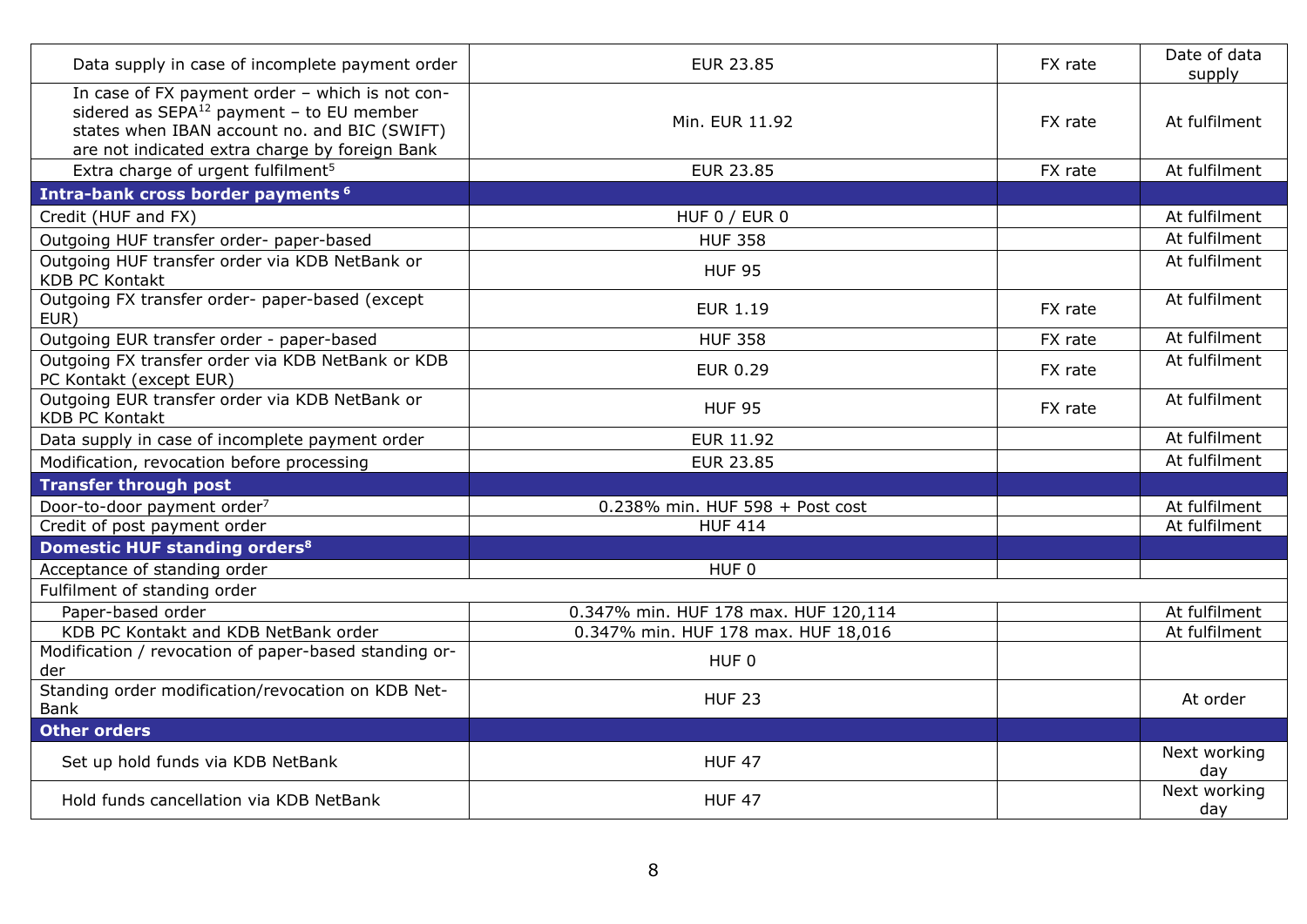| Data supply in case of incomplete payment order                                                                                                                                                    | <b>EUR 23.85</b>                     | FX rate | Date of data<br>supply |
|----------------------------------------------------------------------------------------------------------------------------------------------------------------------------------------------------|--------------------------------------|---------|------------------------|
| In case of FX payment order - which is not con-<br>sidered as $SEPA^{12}$ payment - to EU member<br>states when IBAN account no. and BIC (SWIFT)<br>are not indicated extra charge by foreign Bank | Min. EUR 11.92                       | FX rate | At fulfilment          |
| Extra charge of urgent fulfilment <sup>5</sup>                                                                                                                                                     | <b>EUR 23.85</b>                     | FX rate | At fulfilment          |
| Intra-bank cross border payments <sup>6</sup>                                                                                                                                                      |                                      |         |                        |
| Credit (HUF and FX)                                                                                                                                                                                | HUF $0/$ EUR $0$                     |         | At fulfilment          |
| Outgoing HUF transfer order- paper-based                                                                                                                                                           | <b>HUF 358</b>                       |         | At fulfilment          |
| Outgoing HUF transfer order via KDB NetBank or<br><b>KDB PC Kontakt</b>                                                                                                                            | <b>HUF 95</b>                        |         | At fulfilment          |
| Outgoing FX transfer order- paper-based (except<br>EUR)                                                                                                                                            | <b>EUR 1.19</b>                      | FX rate | At fulfilment          |
| Outgoing EUR transfer order - paper-based                                                                                                                                                          | <b>HUF 358</b>                       | FX rate | At fulfilment          |
| Outgoing FX transfer order via KDB NetBank or KDB<br>PC Kontakt (except EUR)                                                                                                                       | <b>EUR 0.29</b>                      | FX rate | At fulfilment          |
| Outgoing EUR transfer order via KDB NetBank or<br><b>KDB PC Kontakt</b>                                                                                                                            | <b>HUF 95</b>                        | FX rate | At fulfilment          |
| Data supply in case of incomplete payment order                                                                                                                                                    | <b>EUR 11.92</b>                     |         | At fulfilment          |
| Modification, revocation before processing                                                                                                                                                         | <b>EUR 23.85</b>                     |         | At fulfilment          |
| <b>Transfer through post</b>                                                                                                                                                                       |                                      |         |                        |
| Door-to-door payment order <sup>7</sup>                                                                                                                                                            | 0.238% min. HUF 598 + Post cost      |         | At fulfilment          |
| Credit of post payment order                                                                                                                                                                       | <b>HUF 414</b>                       |         | At fulfilment          |
| Domestic HUF standing orders <sup>8</sup>                                                                                                                                                          |                                      |         |                        |
| Acceptance of standing order                                                                                                                                                                       | HUF 0                                |         |                        |
| Fulfilment of standing order                                                                                                                                                                       |                                      |         |                        |
| Paper-based order                                                                                                                                                                                  | 0.347% min. HUF 178 max. HUF 120,114 |         | At fulfilment          |
| KDB PC Kontakt and KDB NetBank order                                                                                                                                                               | 0.347% min. HUF 178 max. HUF 18,016  |         | At fulfilment          |
| Modification / revocation of paper-based standing or-<br>der                                                                                                                                       | HUF <sub>0</sub>                     |         |                        |
| Standing order modification/revocation on KDB Net-<br>Bank                                                                                                                                         | <b>HUF 23</b>                        |         | At order               |
| <b>Other orders</b>                                                                                                                                                                                |                                      |         |                        |
| Set up hold funds via KDB NetBank                                                                                                                                                                  | <b>HUF 47</b>                        |         | Next working<br>day    |
| Hold funds cancellation via KDB NetBank                                                                                                                                                            | <b>HUF 47</b>                        |         | Next working<br>day    |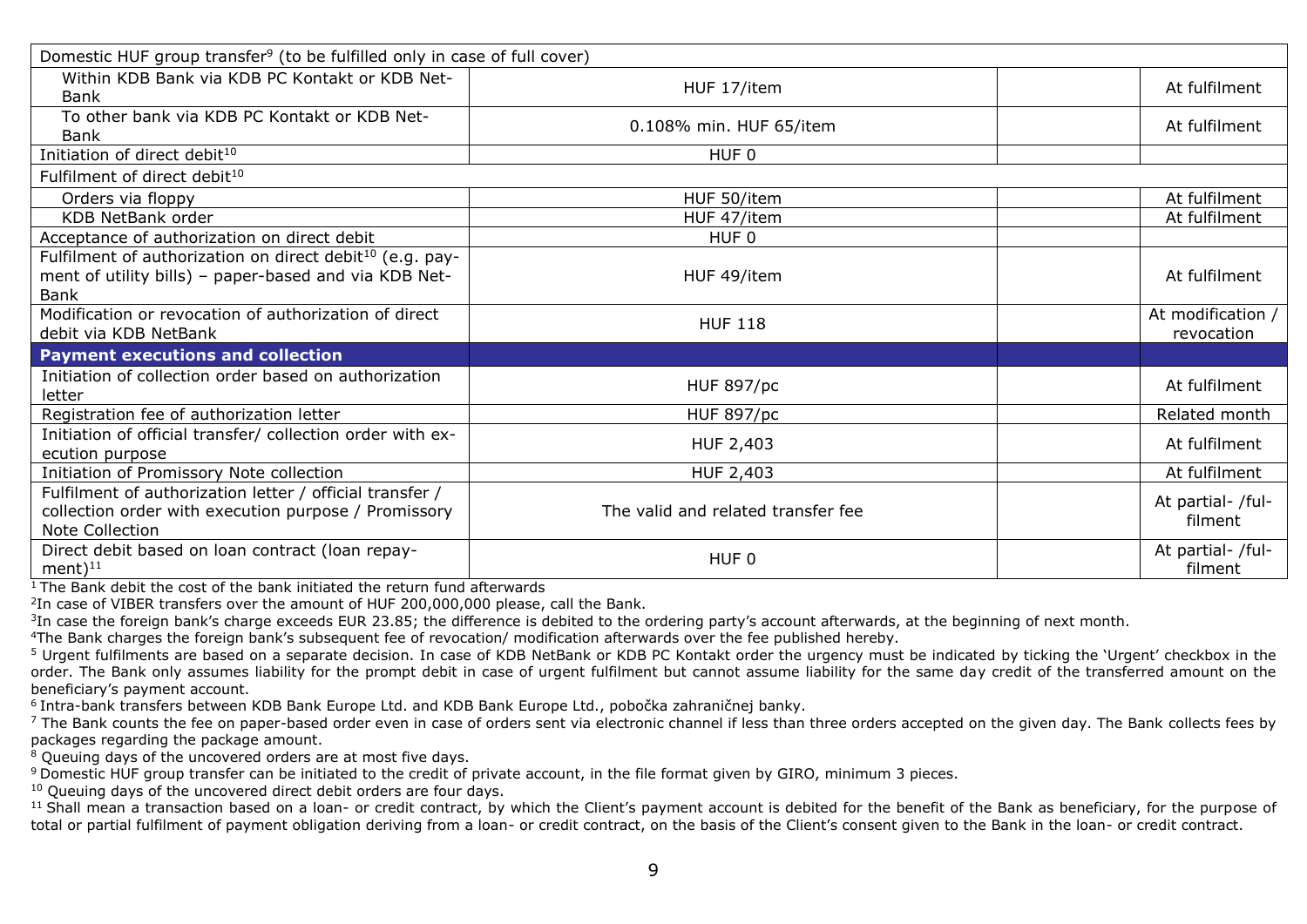| Domestic HUF group transfer <sup>9</sup> (to be fulfilled only in case of full cover)                                                 |                                    |                                 |  |  |
|---------------------------------------------------------------------------------------------------------------------------------------|------------------------------------|---------------------------------|--|--|
| Within KDB Bank via KDB PC Kontakt or KDB Net-<br>Bank                                                                                | HUF 17/item                        | At fulfilment                   |  |  |
| To other bank via KDB PC Kontakt or KDB Net-<br>Bank                                                                                  | 0.108% min. HUF 65/item            | At fulfilment                   |  |  |
| Initiation of direct debit <sup>10</sup>                                                                                              | HUF 0                              |                                 |  |  |
| Fulfilment of direct debit <sup>10</sup>                                                                                              |                                    |                                 |  |  |
| Orders via floppy                                                                                                                     | HUF 50/item                        | At fulfilment                   |  |  |
| KDB NetBank order                                                                                                                     | HUF 47/item                        | At fulfilment                   |  |  |
| Acceptance of authorization on direct debit                                                                                           | HUF <sub>0</sub>                   |                                 |  |  |
| Fulfilment of authorization on direct debit <sup>10</sup> (e.g. pay-<br>ment of utility bills) - paper-based and via KDB Net-<br>Bank | HUF 49/item                        | At fulfilment                   |  |  |
| Modification or revocation of authorization of direct<br>debit via KDB NetBank                                                        | <b>HUF 118</b>                     | At modification /<br>revocation |  |  |
| <b>Payment executions and collection</b>                                                                                              |                                    |                                 |  |  |
| Initiation of collection order based on authorization<br>letter                                                                       | <b>HUF 897/pc</b>                  | At fulfilment                   |  |  |
| Registration fee of authorization letter                                                                                              | <b>HUF 897/pc</b>                  | Related month                   |  |  |
| Initiation of official transfer/ collection order with ex-<br>ecution purpose                                                         | HUF 2,403                          | At fulfilment                   |  |  |
| Initiation of Promissory Note collection                                                                                              | HUF 2,403                          | At fulfilment                   |  |  |
| Fulfilment of authorization letter / official transfer /<br>collection order with execution purpose / Promissory<br>Note Collection   | The valid and related transfer fee | At partial- /ful-<br>filment    |  |  |
| Direct debit based on loan contract (loan repay-<br>ment $)^{11}$                                                                     | HUF 0                              | At partial- /ful-<br>filment    |  |  |

 $\frac{1}{1}$  The Bank debit the cost of the bank initiated the return fund afterwards

 $2$ In case of VIBER transfers over the amount of HUF 200,000,000 please, call the Bank.

 $3$ In case the foreign bank's charge exceeds EUR 23.85; the difference is debited to the ordering party's account afterwards, at the beginning of next month.

<sup>4</sup>The Bank charges the foreign bank's subsequent fee of revocation/ modification afterwards over the fee published hereby.

<sup>5</sup> Urgent fulfilments are based on a separate decision. In case of KDB NetBank or KDB PC Kontakt order the urgency must be indicated by ticking the 'Urgent' checkbox in the order. The Bank only assumes liability for the prompt debit in case of urgent fulfilment but cannot assume liability for the same day credit of the transferred amount on the beneficiary's payment account.

<sup>6</sup>Intra-bank transfers between KDB Bank Europe Ltd. and KDB Bank Europe Ltd., pobočka zahraničnej banky.

<sup>7</sup> The Bank counts the fee on paper-based order even in case of orders sent via electronic channel if less than three orders accepted on the given day. The Bank collects fees by packages regarding the package amount.

<sup>8</sup> Queuing days of the uncovered orders are at most five days.

<sup>9</sup> Domestic HUF group transfer can be initiated to the credit of private account, in the file format given by GIRO, minimum 3 pieces.

 $10$  Queuing days of the uncovered direct debit orders are four days.

<sup>11</sup> Shall mean a transaction based on a loan- or credit contract, by which the Client's payment account is debited for the benefit of the Bank as beneficiary, for the purpose of total or partial fulfilment of payment obligation deriving from a loan- or credit contract, on the basis of the Client's consent given to the Bank in the loan- or credit contract.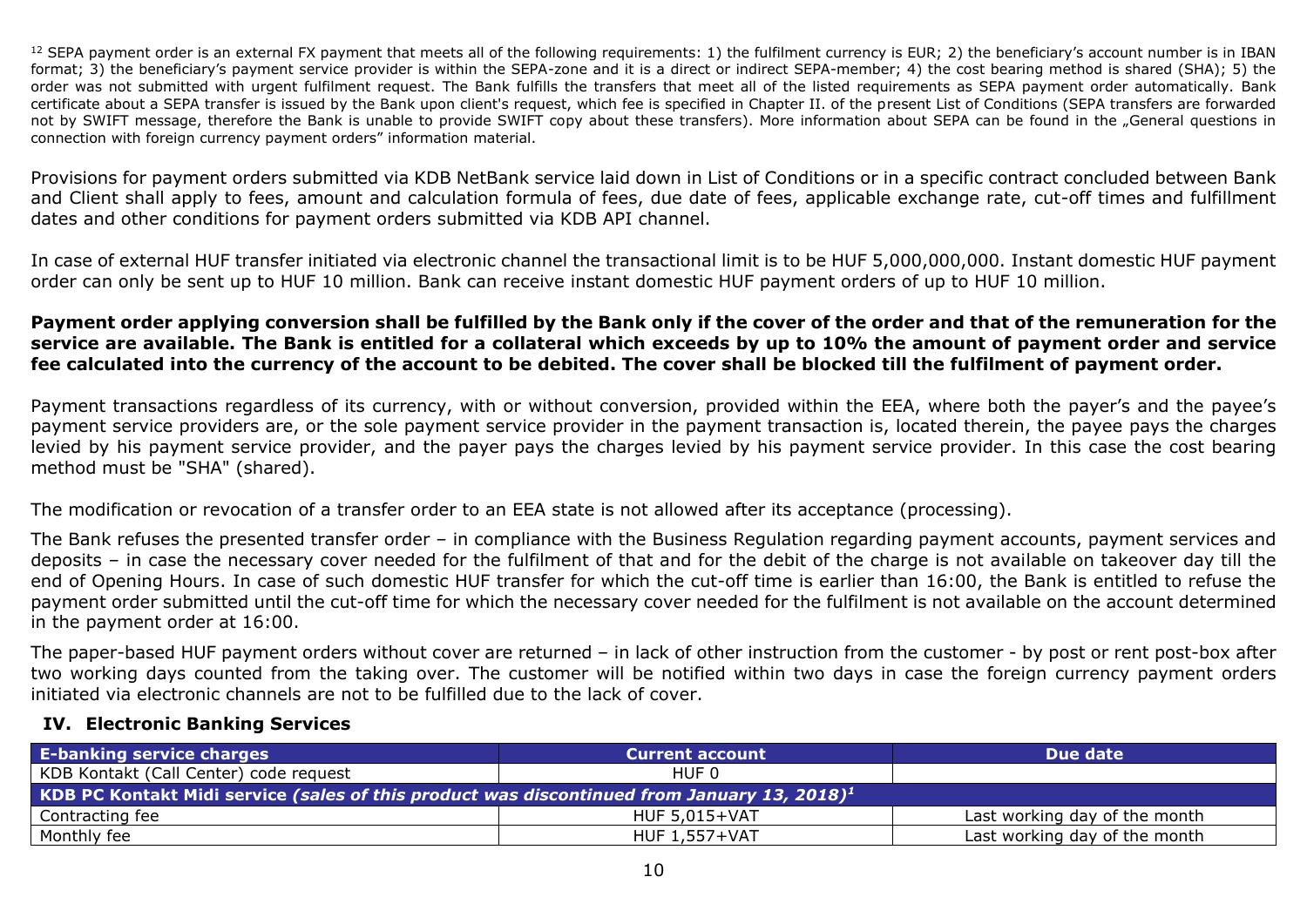$12$  SEPA payment order is an external FX payment that meets all of the following requirements: 1) the fulfilment currency is EUR; 2) the beneficiary's account number is in IBAN format; 3) the beneficiary's payment service provider is within the SEPA-zone and it is a direct or indirect SEPA-member; 4) the cost bearing method is shared (SHA); 5) the order was not submitted with urgent fulfilment request. The Bank fulfills the transfers that meet all of the listed requirements as SEPA payment order automatically. Bank certificate about a SEPA transfer is issued by the Bank upon client's request, which fee is specified in Chapter II. of the present List of Conditions (SEPA transfers are forwarded not by SWIFT message, therefore the Bank is unable to provide SWIFT copy about these transfers). More information about SEPA can be found in the "General questions in connection with foreign currency payment orders" information material.

Provisions for payment orders submitted via KDB NetBank service laid down in List of Conditions or in a specific contract concluded between Bank and Client shall apply to fees, amount and calculation formula of fees, due date of fees, applicable exchange rate, cut-off times and fulfillment dates and other conditions for payment orders submitted via KDB API channel.

In case of external HUF transfer initiated via electronic channel the transactional limit is to be HUF 5,000,000,000. Instant domestic HUF payment order can only be sent up to HUF 10 million. Bank can receive instant domestic HUF payment orders of up to HUF 10 million.

#### **Payment order applying conversion shall be fulfilled by the Bank only if the cover of the order and that of the remuneration for the service are available. The Bank is entitled for a collateral which exceeds by up to 10% the amount of payment order and service fee calculated into the currency of the account to be debited. The cover shall be blocked till the fulfilment of payment order.**

Payment transactions regardless of its currency, with or without conversion, provided within the EEA, where both the payer's and the payee's payment service providers are, or the sole payment service provider in the payment transaction is, located therein, the payee pays the charges levied by his payment service provider, and the payer pays the charges levied by his payment service provider. In this case the cost bearing method must be "SHA" (shared).

The modification or revocation of a transfer order to an EEA state is not allowed after its acceptance (processing).

The Bank refuses the presented transfer order – in compliance with the Business Regulation regarding payment accounts, payment services and deposits – in case the necessary cover needed for the fulfilment of that and for the debit of the charge is not available on takeover day till the end of Opening Hours. In case of such domestic HUF transfer for which the cut-off time is earlier than 16:00, the Bank is entitled to refuse the payment order submitted until the cut-off time for which the necessary cover needed for the fulfilment is not available on the account determined in the payment order at 16:00.

The paper-based HUF payment orders without cover are returned – in lack of other instruction from the customer - by post or rent post-box after two working days counted from the taking over. The customer will be notified within two days in case the foreign currency payment orders initiated via electronic channels are not to be fulfilled due to the lack of cover.

#### <span id="page-9-0"></span>**IV. Electronic Banking Services**

| <b>E-banking service charges</b>                                                                        | <b>Current account</b> | Due date                      |  |  |  |
|---------------------------------------------------------------------------------------------------------|------------------------|-------------------------------|--|--|--|
| KDB Kontakt (Call Center) code request                                                                  | HUF 0                  |                               |  |  |  |
| KDB PC Kontakt Midi service (sales of this product was discontinued from January 13, 2018) <sup>1</sup> |                        |                               |  |  |  |
| Contracting fee                                                                                         | HUF 5.015+VAT          | Last working day of the month |  |  |  |
| Monthly fee                                                                                             | HUF 1,557+VAT          | Last working day of the month |  |  |  |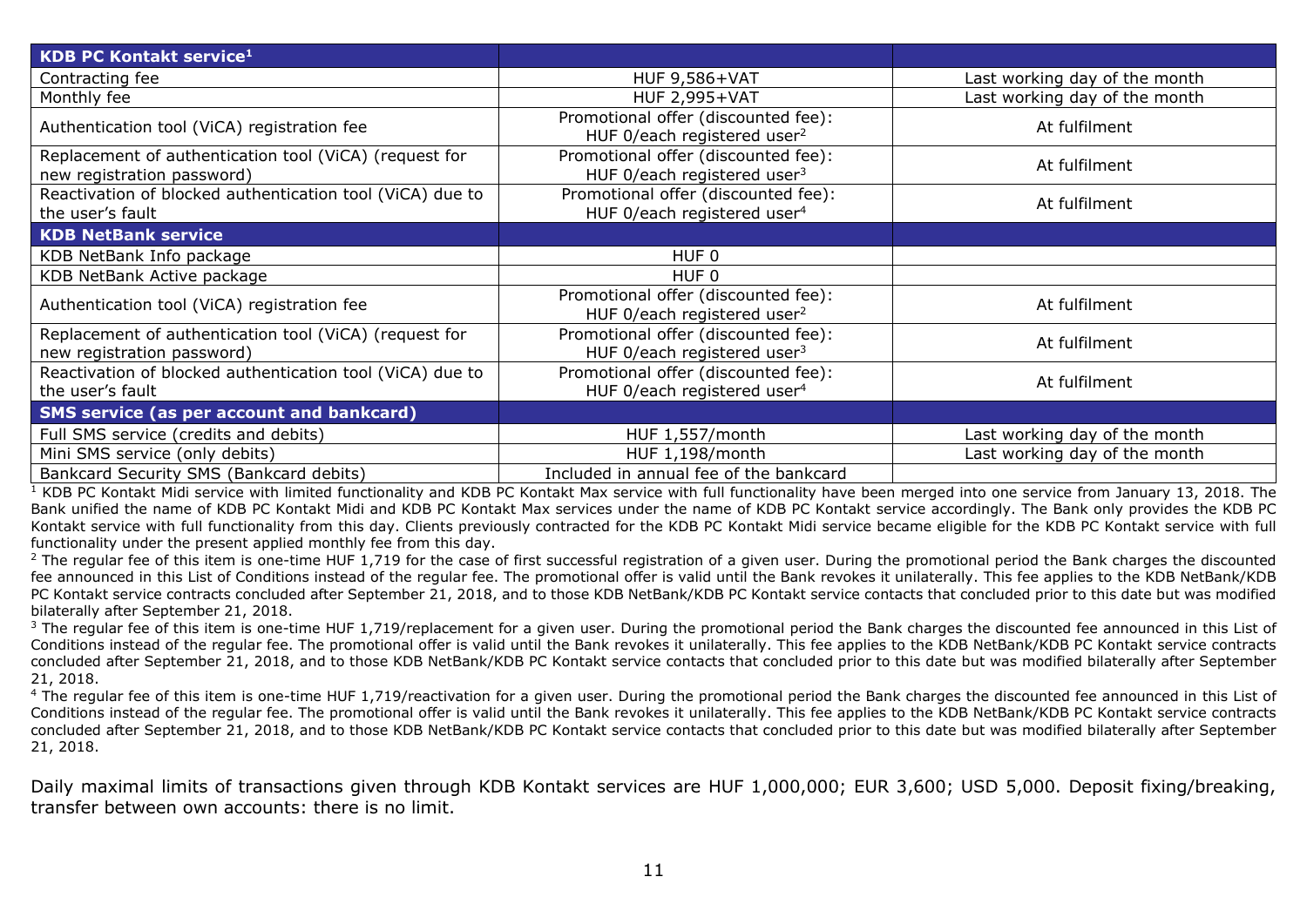| <b>KDB PC Kontakt service1</b>                                                       |                                                                                |                               |
|--------------------------------------------------------------------------------------|--------------------------------------------------------------------------------|-------------------------------|
| Contracting fee                                                                      | <b>HUF 9,586+VAT</b>                                                           | Last working day of the month |
| Monthly fee                                                                          | <b>HUF 2,995+VAT</b>                                                           | Last working day of the month |
| Authentication tool (ViCA) registration fee                                          | Promotional offer (discounted fee):<br>HUF 0/each registered user <sup>2</sup> | At fulfilment                 |
| Replacement of authentication tool (ViCA) (request for<br>new registration password) | Promotional offer (discounted fee):<br>HUF 0/each registered user <sup>3</sup> | At fulfilment                 |
| Reactivation of blocked authentication tool (ViCA) due to<br>the user's fault        | Promotional offer (discounted fee):<br>HUF 0/each registered user <sup>4</sup> | At fulfilment                 |
| <b>KDB NetBank service</b>                                                           |                                                                                |                               |
| KDB NetBank Info package                                                             | HUF <sub>0</sub>                                                               |                               |
| KDB NetBank Active package                                                           | HUF <sub>0</sub>                                                               |                               |
| Authentication tool (ViCA) registration fee                                          | Promotional offer (discounted fee):<br>HUF 0/each registered user <sup>2</sup> | At fulfilment                 |
| Replacement of authentication tool (ViCA) (request for<br>new registration password) | Promotional offer (discounted fee):<br>HUF 0/each registered user $3$          | At fulfilment                 |
| Reactivation of blocked authentication tool (ViCA) due to<br>the user's fault        | Promotional offer (discounted fee):<br>HUF 0/each registered user <sup>4</sup> | At fulfilment                 |
| <b>SMS service (as per account and bankcard)</b>                                     |                                                                                |                               |
| Full SMS service (credits and debits)                                                | HUF 1,557/month                                                                | Last working day of the month |
| Mini SMS service (only debits)                                                       | HUF 1,198/month                                                                | Last working day of the month |
| Bankcard Security SMS (Bankcard debits)                                              | Included in annual fee of the bankcard                                         |                               |

 $\frac{1}{1}$  KDB PC Kontakt Midi service with limited functionality and KDB PC Kontakt Max service with full functionality have been merged into one service from January 13, 2018. The Bank unified the name of KDB PC Kontakt Midi and KDB PC Kontakt Max services under the name of KDB PC Kontakt service accordingly. The Bank only provides the KDB PC Kontakt service with full functionality from this day. Clients previously contracted for the KDB PC Kontakt Midi service became eligible for the KDB PC Kontakt service with full functionality under the present applied monthly fee from this day.

<sup>2</sup> The regular fee of this item is one-time HUF 1,719 for the case of first successful registration of a given user. During the promotional period the Bank charges the discounted fee announced in this List of Conditions instead of the regular fee. The promotional offer is valid until the Bank revokes it unilaterally. This fee applies to the KDB NetBank/KDB PC Kontakt service contracts concluded after September 21, 2018, and to those KDB NetBank/KDB PC Kontakt service contacts that concluded prior to this date but was modified bilaterally after September 21, 2018.

 $3$  The regular fee of this item is one-time HUF 1,719/replacement for a given user. During the promotional period the Bank charges the discounted fee announced in this List of Conditions instead of the regular fee. The promotional offer is valid until the Bank revokes it unilaterally. This fee applies to the KDB NetBank/KDB PC Kontakt service contracts concluded after September 21, 2018, and to those KDB NetBank/KDB PC Kontakt service contacts that concluded prior to this date but was modified bilaterally after September 21, 2018.

<sup>4</sup> The regular fee of this item is one-time HUF 1,719/reactivation for a given user. During the promotional period the Bank charges the discounted fee announced in this List of Conditions instead of the regular fee. The promotional offer is valid until the Bank revokes it unilaterally. This fee applies to the KDB NetBank/KDB PC Kontakt service contracts concluded after September 21, 2018, and to those KDB NetBank/KDB PC Kontakt service contacts that concluded prior to this date but was modified bilaterally after September 21, 2018.

Daily maximal limits of transactions given through KDB Kontakt services are HUF 1,000,000; EUR 3,600; USD 5,000. Deposit fixing/breaking, transfer between own accounts: there is no limit.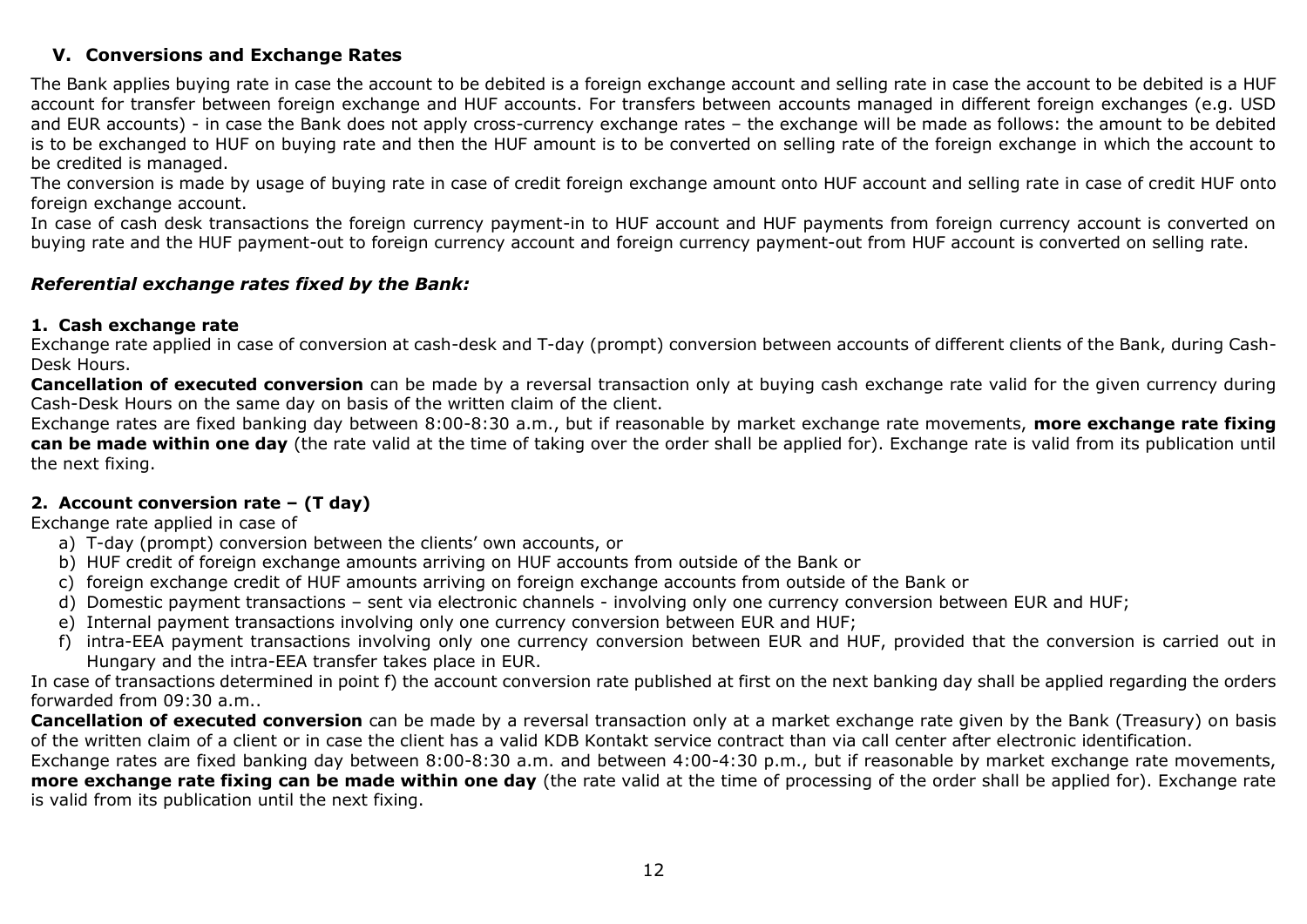# <span id="page-11-0"></span>**V. Conversions and Exchange Rates**

The Bank applies buying rate in case the account to be debited is a foreign exchange account and selling rate in case the account to be debited is a HUF account for transfer between foreign exchange and HUF accounts. For transfers between accounts managed in different foreign exchanges (e.g. USD and EUR accounts) - in case the Bank does not apply cross-currency exchange rates – the exchange will be made as follows: the amount to be debited is to be exchanged to HUF on buying rate and then the HUF amount is to be converted on selling rate of the foreign exchange in which the account to be credited is managed.

The conversion is made by usage of buying rate in case of credit foreign exchange amount onto HUF account and selling rate in case of credit HUF onto foreign exchange account.

In case of cash desk transactions the foreign currency payment-in to HUF account and HUF payments from foreign currency account is converted on buying rate and the HUF payment-out to foreign currency account and foreign currency payment-out from HUF account is converted on selling rate.

#### *Referential exchange rates fixed by the Bank:*

#### **1. Cash exchange rate**

Exchange rate applied in case of conversion at cash-desk and T-day (prompt) conversion between accounts of different clients of the Bank, during Cash-Desk Hours.

**Cancellation of executed conversion** can be made by a reversal transaction only at buying cash exchange rate valid for the given currency during Cash-Desk Hours on the same day on basis of the written claim of the client.

Exchange rates are fixed banking day between 8:00-8:30 a.m., but if reasonable by market exchange rate movements, **more exchange rate fixing can be made within one day** (the rate valid at the time of taking over the order shall be applied for). Exchange rate is valid from its publication until the next fixing.

#### **2. Account conversion rate – (T day)**

Exchange rate applied in case of

- a) T-day (prompt) conversion between the clients' own accounts, or
- b) HUF credit of foreign exchange amounts arriving on HUF accounts from outside of the Bank or
- c) foreign exchange credit of HUF amounts arriving on foreign exchange accounts from outside of the Bank or
- d) Domestic payment transactions sent via electronic channels involving only one currency conversion between EUR and HUF;
- e) Internal payment transactions involving only one currency conversion between EUR and HUF;
- f) intra-EEA payment transactions involving only one currency conversion between EUR and HUF, provided that the conversion is carried out in Hungary and the intra-EEA transfer takes place in EUR.

In case of transactions determined in point f) the account conversion rate published at first on the next banking day shall be applied regarding the orders forwarded from 09:30 a.m..

**Cancellation of executed conversion** can be made by a reversal transaction only at a market exchange rate given by the Bank (Treasury) on basis of the written claim of a client or in case the client has a valid KDB Kontakt service contract than via call center after electronic identification.

Exchange rates are fixed banking day between 8:00-8:30 a.m. and between 4:00-4:30 p.m., but if reasonable by market exchange rate movements, **more exchange rate fixing can be made within one day** (the rate valid at the time of processing of the order shall be applied for). Exchange rate is valid from its publication until the next fixing.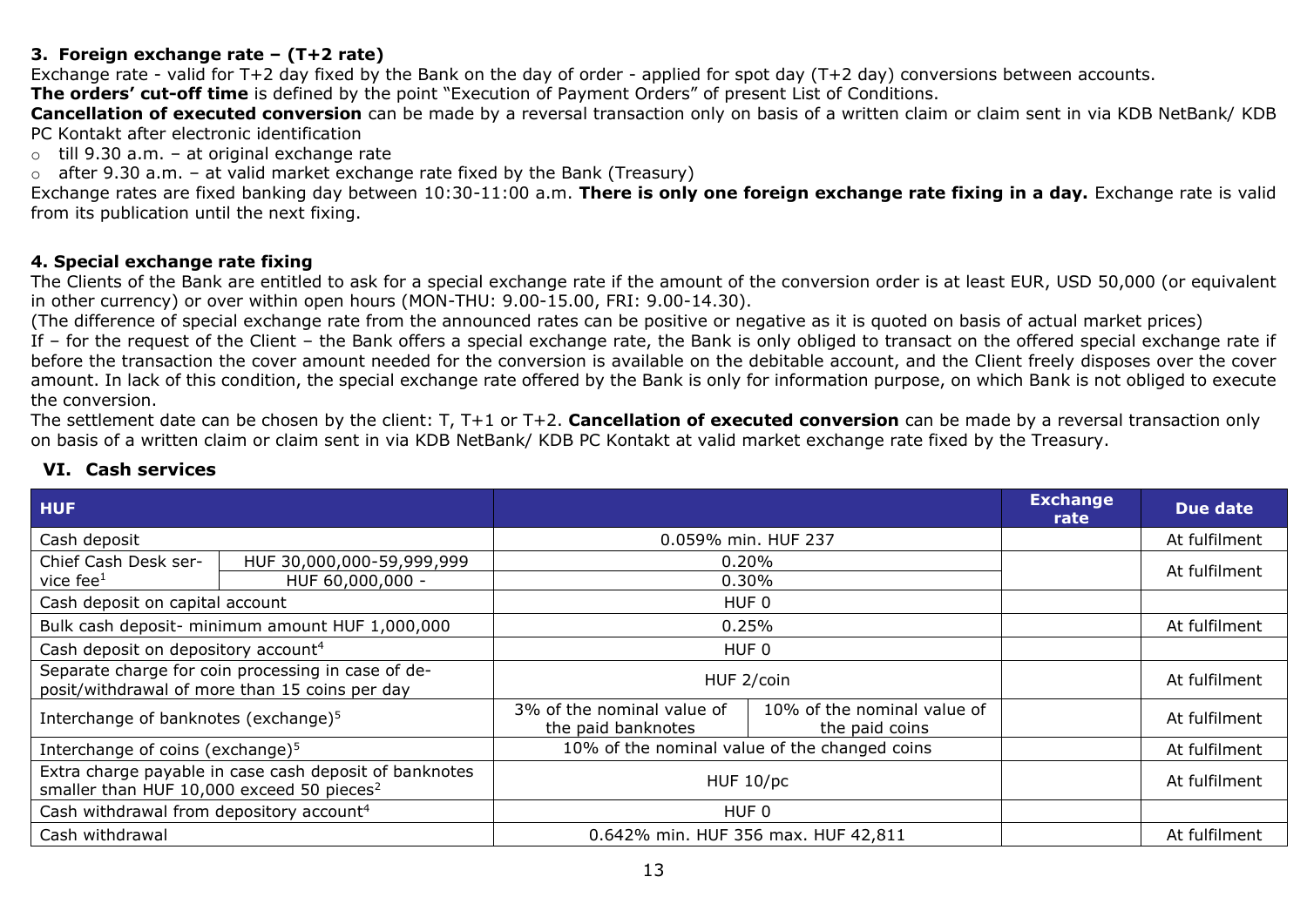# **3. Foreign exchange rate – (T+2 rate)**

Exchange rate - valid for T+2 day fixed by the Bank on the day of order - applied for spot day (T+2 day) conversions between accounts.

**The orders' cut-off time** is defined by the point "Execution of Payment Orders" of present List of Conditions.

**Cancellation of executed conversion** can be made by a reversal transaction only on basis of a written claim or claim sent in via KDB NetBank/ KDB PC Kontakt after electronic identification

- $\circ$  till 9.30 a.m. at original exchange rate
- $\circ$  after 9.30 a.m. at valid market exchange rate fixed by the Bank (Treasury)

Exchange rates are fixed banking day between 10:30-11:00 a.m. **There is only one foreign exchange rate fixing in a day.** Exchange rate is valid from its publication until the next fixing.

#### **4. Special exchange rate fixing**

The Clients of the Bank are entitled to ask for a special exchange rate if the amount of the conversion order is at least EUR, USD 50,000 (or equivalent in other currency) or over within open hours (MON-THU: 9.00-15.00, FRI: 9.00-14.30).

(The difference of special exchange rate from the announced rates can be positive or negative as it is quoted on basis of actual market prices)

If – for the request of the Client – the Bank offers a special exchange rate, the Bank is only obliged to transact on the offered special exchange rate if before the transaction the cover amount needed for the conversion is available on the debitable account, and the Client freely disposes over the cover amount. In lack of this condition, the special exchange rate offered by the Bank is only for information purpose, on which Bank is not obliged to execute the conversion.

The settlement date can be chosen by the client: T, T+1 or T+2. **Cancellation of executed conversion** can be made by a reversal transaction only on basis of a written claim or claim sent in via KDB NetBank/ KDB PC Kontakt at valid market exchange rate fixed by the Treasury.

| <b>HUF</b>                                                                                                      |                                                 |                                                  |                                               | <b>Exchange</b><br>rate | Due date      |
|-----------------------------------------------------------------------------------------------------------------|-------------------------------------------------|--------------------------------------------------|-----------------------------------------------|-------------------------|---------------|
| Cash deposit                                                                                                    |                                                 | 0.059% min. HUF 237                              |                                               |                         | At fulfilment |
| Chief Cash Desk ser-                                                                                            | HUF 30,000,000-59,999,999                       |                                                  | 0.20%                                         |                         | At fulfilment |
| vice fee $1$                                                                                                    | HUF 60,000,000 -                                |                                                  | 0.30%                                         |                         |               |
| Cash deposit on capital account                                                                                 |                                                 |                                                  | HUF 0                                         |                         |               |
|                                                                                                                 | Bulk cash deposit- minimum amount HUF 1,000,000 |                                                  | 0.25%                                         |                         | At fulfilment |
| Cash deposit on depository account <sup>4</sup>                                                                 |                                                 | HUF 0                                            |                                               |                         |               |
| Separate charge for coin processing in case of de-<br>posit/withdrawal of more than 15 coins per day            |                                                 | HUF 2/coin                                       |                                               |                         | At fulfilment |
| Interchange of banknotes (exchange) <sup>5</sup>                                                                |                                                 | 3% of the nominal value of<br>the paid banknotes | 10% of the nominal value of<br>the paid coins |                         | At fulfilment |
| Interchange of coins (exchange) <sup>5</sup>                                                                    |                                                 |                                                  | 10% of the nominal value of the changed coins |                         | At fulfilment |
| Extra charge payable in case cash deposit of banknotes<br>smaller than HUF 10,000 exceed 50 pieces <sup>2</sup> |                                                 | HUF 10/pc                                        |                                               |                         | At fulfilment |
| Cash withdrawal from depository account <sup>4</sup>                                                            |                                                 | HUF 0                                            |                                               |                         |               |
| Cash withdrawal                                                                                                 |                                                 | 0.642% min. HUF 356 max. HUF 42,811              |                                               |                         | At fulfilment |

# <span id="page-12-0"></span>**VI. Cash services**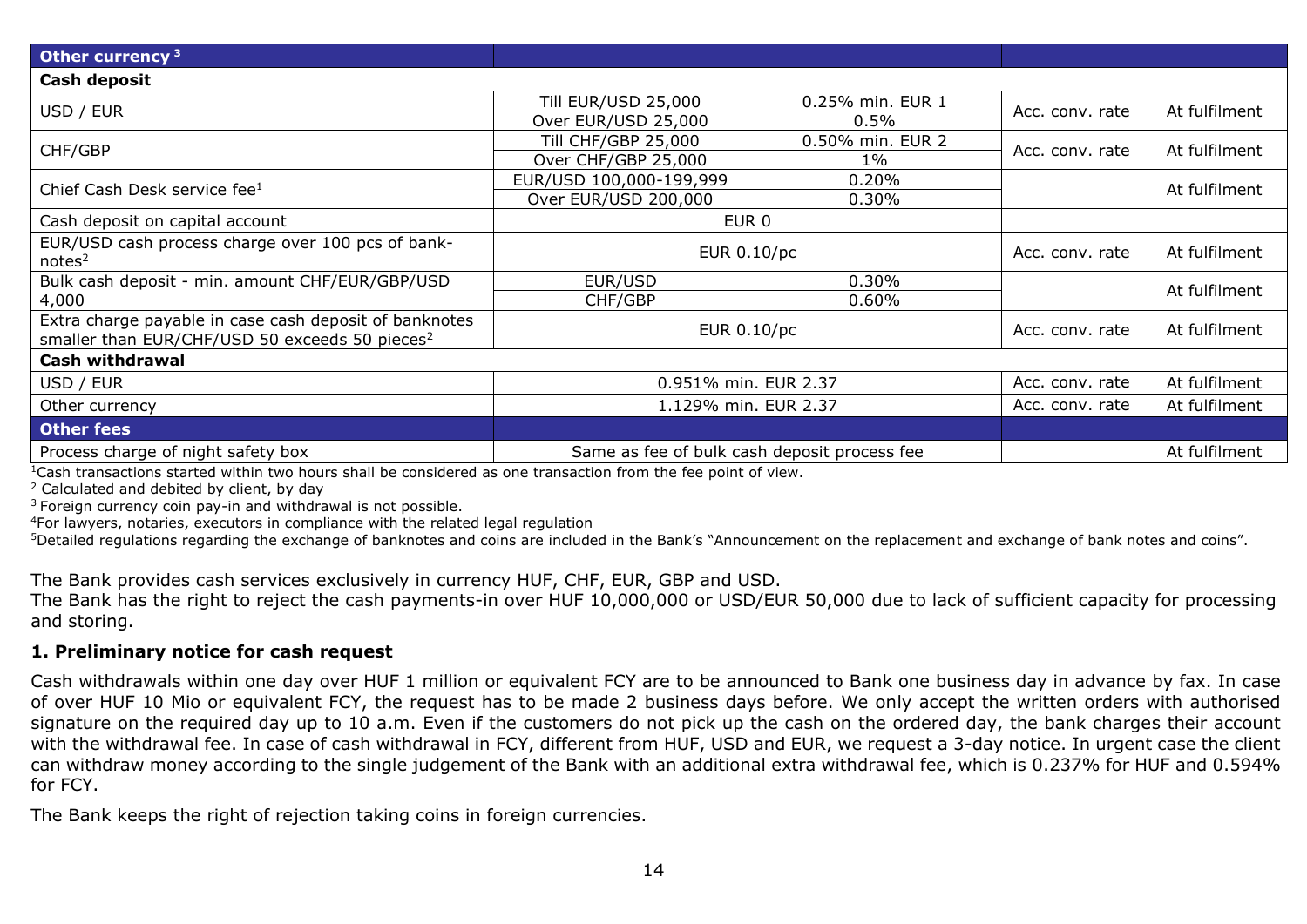| Other currency <sup>3</sup>                                |                            |                                              |                 |               |  |  |
|------------------------------------------------------------|----------------------------|----------------------------------------------|-----------------|---------------|--|--|
| Cash deposit                                               |                            |                                              |                 |               |  |  |
| USD / EUR                                                  | <b>Till EUR/USD 25,000</b> | 0.25% min. EUR 1                             | Acc. conv. rate | At fulfilment |  |  |
|                                                            | Over EUR/USD 25,000        | 0.5%                                         |                 |               |  |  |
| CHF/GBP                                                    | <b>Till CHF/GBP 25,000</b> | 0.50% min. EUR 2                             | Acc. conv. rate | At fulfilment |  |  |
|                                                            | Over CHF/GBP 25,000        | $1\%$                                        |                 |               |  |  |
| Chief Cash Desk service fee <sup>1</sup>                   | EUR/USD 100,000-199,999    | 0.20%                                        |                 | At fulfilment |  |  |
|                                                            | Over EUR/USD 200,000       | $0.30\%$                                     |                 |               |  |  |
| Cash deposit on capital account                            | EUR 0                      |                                              |                 |               |  |  |
| EUR/USD cash process charge over 100 pcs of bank-          | EUR 0.10/pc                |                                              | Acc. conv. rate | At fulfilment |  |  |
| notes <sup>2</sup>                                         |                            |                                              |                 |               |  |  |
| Bulk cash deposit - min. amount CHF/EUR/GBP/USD            | EUR/USD                    | 0.30%                                        |                 | At fulfilment |  |  |
| 4,000                                                      | CHF/GBP                    | 0.60%                                        |                 |               |  |  |
| Extra charge payable in case cash deposit of banknotes     |                            | EUR 0.10/pc                                  | Acc. conv. rate | At fulfilment |  |  |
| smaller than EUR/CHF/USD 50 exceeds 50 pieces <sup>2</sup> |                            |                                              |                 |               |  |  |
| Cash withdrawal                                            |                            |                                              |                 |               |  |  |
| USD / EUR                                                  | 0.951% min. EUR 2.37       |                                              | Acc. conv. rate | At fulfilment |  |  |
| Other currency                                             | 1.129% min. EUR 2.37       |                                              | Acc. conv. rate | At fulfilment |  |  |
| <b>Other fees</b>                                          |                            |                                              |                 |               |  |  |
| Process charge of night safety box                         |                            | Same as fee of bulk cash deposit process fee |                 | At fulfilment |  |  |

 $1$ Cash transactions started within two hours shall be considered as one transaction from the fee point of view.

<sup>2</sup> Calculated and debited by client, by day

 $3$  Foreign currency coin pay-in and withdrawal is not possible.

<sup>4</sup>For lawyers, notaries, executors in compliance with the related legal regulation

<sup>5</sup>Detailed regulations regarding the exchange of banknotes and coins are included in the Bank's "Announcement on the replacement and exchange of bank notes and coins".

The Bank provides cash services exclusively in currency HUF, CHF, EUR, GBP and USD.

The Bank has the right to reject the cash payments-in over HUF 10,000,000 or USD/EUR 50,000 due to lack of sufficient capacity for processing and storing.

#### <span id="page-13-0"></span>**1. Preliminary notice for cash request**

Cash withdrawals within one day over HUF 1 million or equivalent FCY are to be announced to Bank one business day in advance by fax. In case of over HUF 10 Mio or equivalent FCY, the request has to be made 2 business days before. We only accept the written orders with authorised signature on the required day up to 10 a.m. Even if the customers do not pick up the cash on the ordered day, the bank charges their account with the withdrawal fee. In case of cash withdrawal in FCY, different from HUF, USD and EUR, we request a 3-day notice. In urgent case the client can withdraw money according to the single judgement of the Bank with an additional extra withdrawal fee, which is 0.237% for HUF and 0.594% for FCY.

The Bank keeps the right of rejection taking coins in foreign currencies.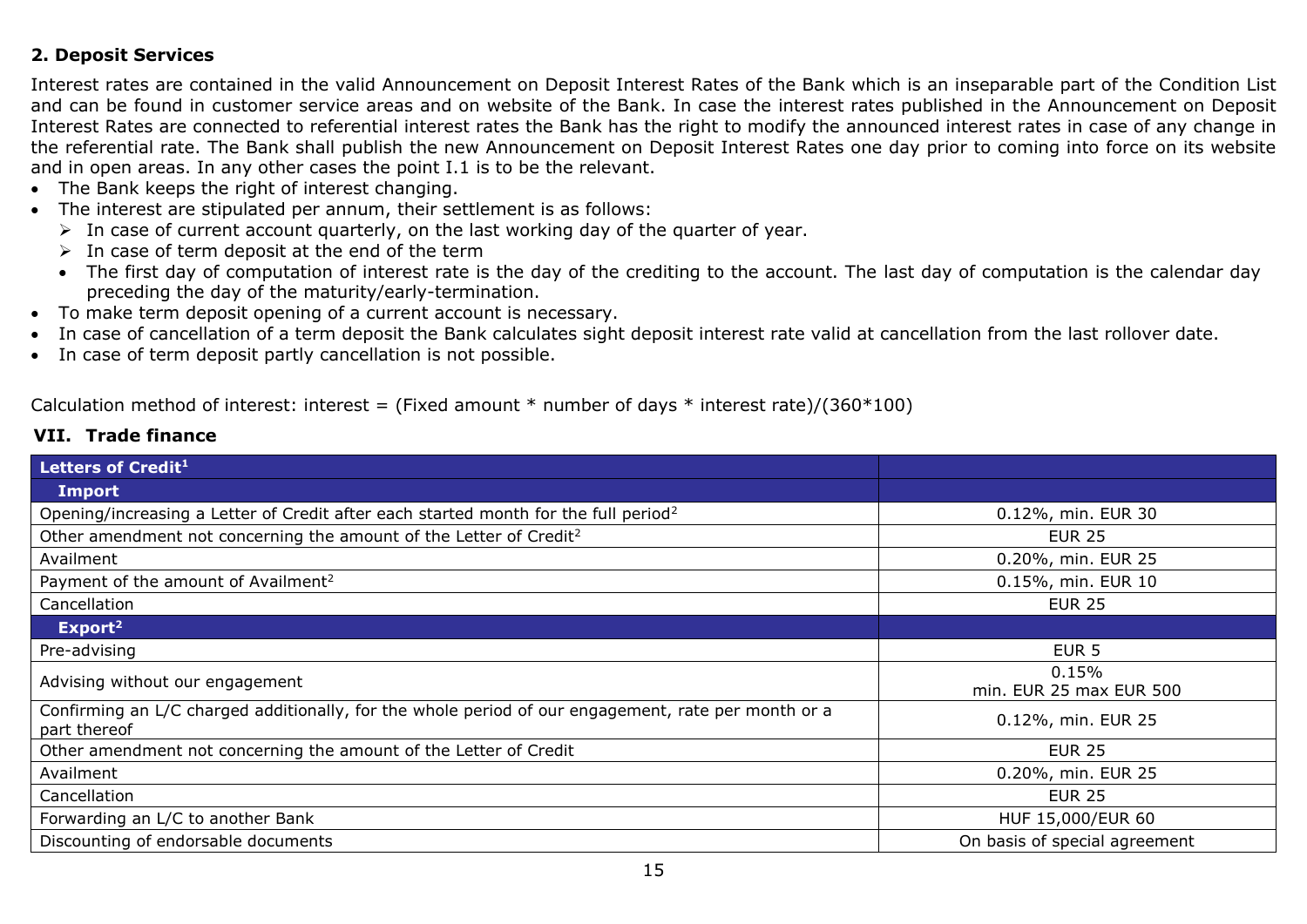# <span id="page-14-0"></span>**2. Deposit Services**

Interest rates are contained in the valid Announcement on Deposit Interest Rates of the Bank which is an inseparable part of the Condition List and can be found in customer service areas and on website of the Bank. In case the interest rates published in the Announcement on Deposit Interest Rates are connected to referential interest rates the Bank has the right to modify the announced interest rates in case of any change in the referential rate. The Bank shall publish the new Announcement on Deposit Interest Rates one day prior to coming into force on its website and in open areas. In any other cases the point I.1 is to be the relevant.

- The Bank keeps the right of interest changing.
- The interest are stipulated per annum, their settlement is as follows:
	- $\triangleright$  In case of current account quarterly, on the last working day of the quarter of year.
	- $\triangleright$  In case of term deposit at the end of the term
	- The first day of computation of interest rate is the day of the crediting to the account. The last day of computation is the calendar day preceding the day of the maturity/early-termination.
- To make term deposit opening of a current account is necessary.
- In case of cancellation of a term deposit the Bank calculates sight deposit interest rate valid at cancellation from the last rollover date.
- In case of term deposit partly cancellation is not possible.

Calculation method of interest: interest = (Fixed amount  $*$  number of days  $*$  interest rate)/(360 $*100$ )

<span id="page-14-1"></span>

| Letters of Credit <sup>1</sup>                                                                                      |                                  |
|---------------------------------------------------------------------------------------------------------------------|----------------------------------|
| <b>Import</b>                                                                                                       |                                  |
| Opening/increasing a Letter of Credit after each started month for the full period <sup>2</sup>                     | 0.12%, min. EUR 30               |
| Other amendment not concerning the amount of the Letter of Credit <sup>2</sup>                                      | <b>EUR 25</b>                    |
| Availment                                                                                                           | 0.20%, min. EUR 25               |
| Payment of the amount of Availment <sup>2</sup>                                                                     | 0.15%, min. EUR 10               |
| Cancellation                                                                                                        | <b>EUR 25</b>                    |
| Export <sup>2</sup>                                                                                                 |                                  |
| Pre-advising                                                                                                        | EUR <sub>5</sub>                 |
| Advising without our engagement                                                                                     | 0.15%<br>min. EUR 25 max EUR 500 |
| Confirming an L/C charged additionally, for the whole period of our engagement, rate per month or a<br>part thereof | 0.12%, min. EUR 25               |
| Other amendment not concerning the amount of the Letter of Credit                                                   | <b>EUR 25</b>                    |
| Availment                                                                                                           | 0.20%, min. EUR 25               |
| Cancellation                                                                                                        | <b>EUR 25</b>                    |
| Forwarding an L/C to another Bank                                                                                   | HUF 15,000/EUR 60                |
| Discounting of endorsable documents                                                                                 | On basis of special agreement    |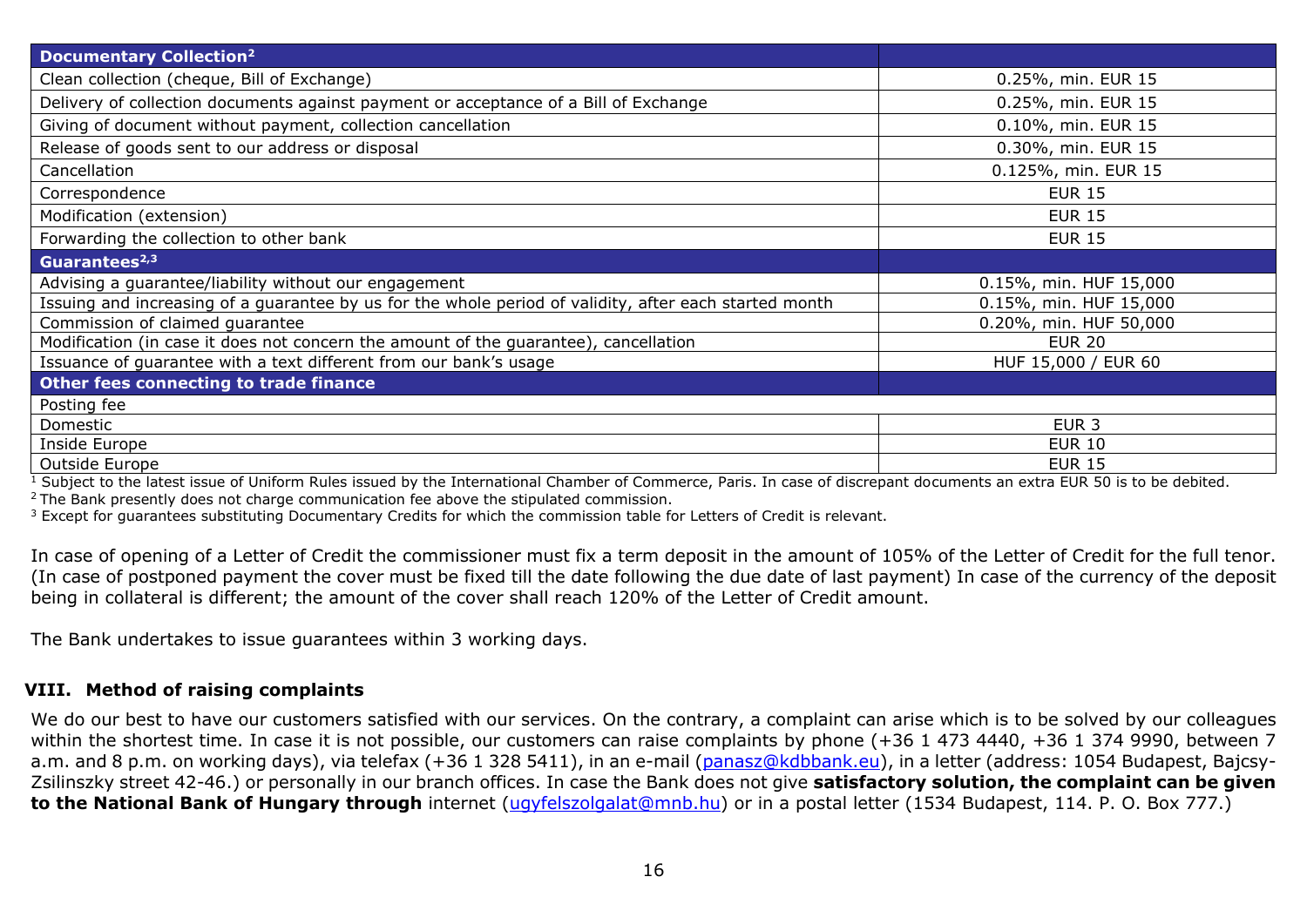| <b>Documentary Collection<sup>2</sup></b>                                                              |                        |
|--------------------------------------------------------------------------------------------------------|------------------------|
| Clean collection (cheque, Bill of Exchange)                                                            | 0.25%, min. EUR 15     |
| Delivery of collection documents against payment or acceptance of a Bill of Exchange                   | 0.25%, min. EUR 15     |
| Giving of document without payment, collection cancellation                                            | 0.10%, min. EUR 15     |
| Release of goods sent to our address or disposal                                                       | 0.30%, min. EUR 15     |
| Cancellation                                                                                           | 0.125%, min. EUR 15    |
| Correspondence                                                                                         | <b>EUR 15</b>          |
| Modification (extension)                                                                               | <b>EUR 15</b>          |
| Forwarding the collection to other bank                                                                | <b>EUR 15</b>          |
| Guarantees <sup>2,3</sup>                                                                              |                        |
| Advising a guarantee/liability without our engagement                                                  | 0.15%, min. HUF 15,000 |
| Issuing and increasing of a guarantee by us for the whole period of validity, after each started month | 0.15%, min. HUF 15,000 |
| Commission of claimed guarantee                                                                        | 0.20%, min. HUF 50,000 |
| Modification (in case it does not concern the amount of the guarantee), cancellation                   | <b>EUR 20</b>          |
| Issuance of guarantee with a text different from our bank's usage                                      | HUF 15,000 / EUR 60    |
| Other fees connecting to trade finance                                                                 |                        |
| Posting fee                                                                                            |                        |
| Domestic                                                                                               | EUR <sub>3</sub>       |
| Inside Europe                                                                                          | <b>EUR 10</b>          |
| Outside Europe                                                                                         | <b>EUR 15</b>          |

 $1$  Subject to the latest issue of Uniform Rules issued by the International Chamber of Commerce, Paris. In case of discrepant documents an extra EUR 50 is to be debited.

 $2$  The Bank presently does not charge communication fee above the stipulated commission.

 $3$  Except for guarantees substituting Documentary Credits for which the commission table for Letters of Credit is relevant.

In case of opening of a Letter of Credit the commissioner must fix a term deposit in the amount of 105% of the Letter of Credit for the full tenor. (In case of postponed payment the cover must be fixed till the date following the due date of last payment) In case of the currency of the deposit being in collateral is different; the amount of the cover shall reach 120% of the Letter of Credit amount.

The Bank undertakes to issue guarantees within 3 working days.

#### <span id="page-15-0"></span>**VIII. Method of raising complaints**

We do our best to have our customers satisfied with our services. On the contrary, a complaint can arise which is to be solved by our colleagues within the shortest time. In case it is not possible, our customers can raise complaints by phone (+36 1 473 4440, +36 1 374 9990, between 7 a.m. and 8 p.m. on working days), via telefax (+36 1 328 5411), in an e-mail [\(panasz@kdbbank.eu\)](mailto:panasz@kdbbank.eu), in a letter (address: 1054 Budapest, Bajcsy-Zsilinszky street 42-46.) or personally in our branch offices. In case the Bank does not give **satisfactory solution, the complaint can be given to the National Bank of Hungary through** internet [\(ugyfelszolgalat@mnb.hu\)](mailto:ugyfelszolgalat@mnb.hu) or in a postal letter (1534 Budapest, 114. P. O. Box 777.)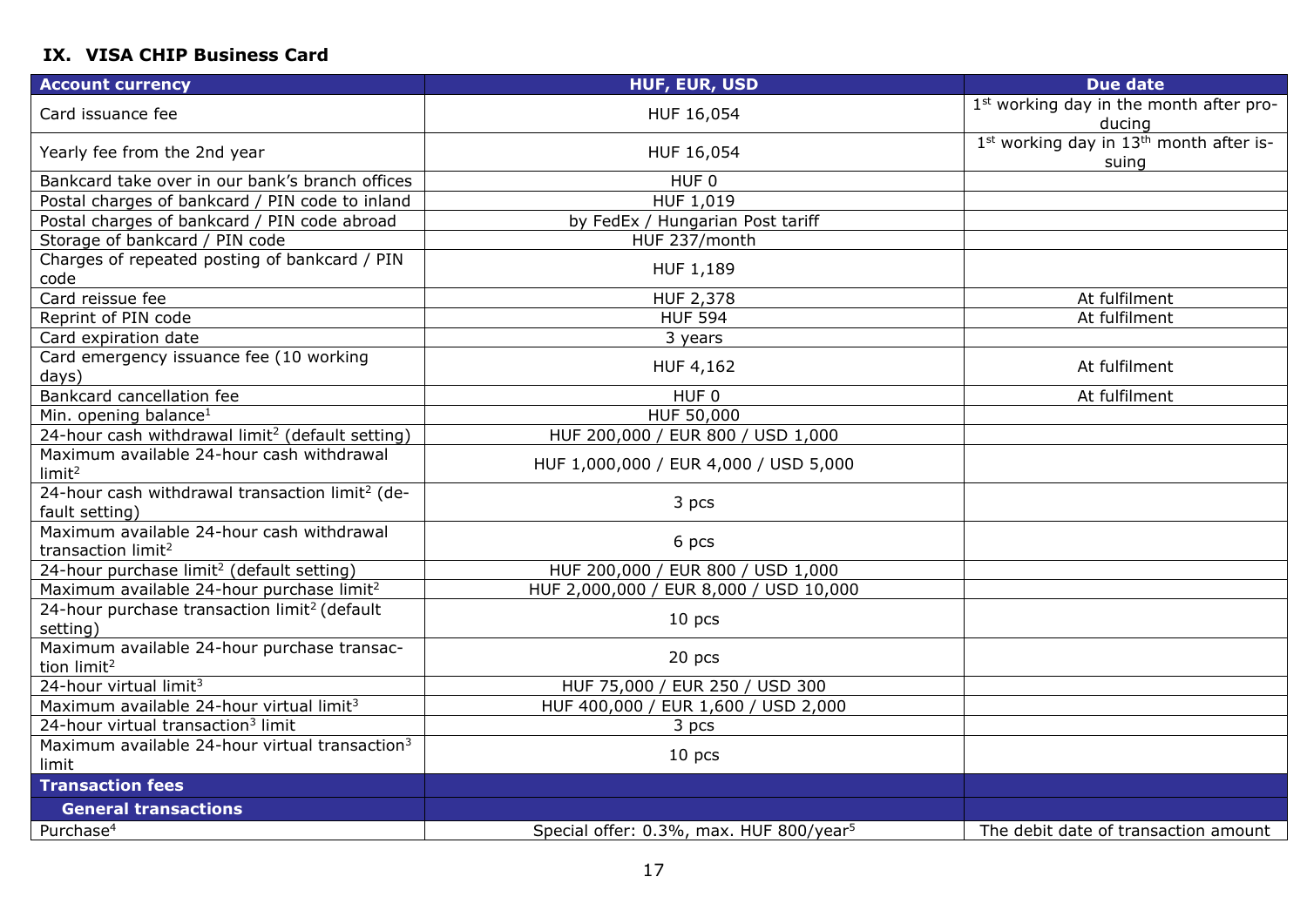# <span id="page-16-0"></span>**IX. VISA CHIP Business Card**

| <b>Account currency</b>                                                       | <b>HUF, EUR, USD</b>                                | <b>Due date</b>                                                          |
|-------------------------------------------------------------------------------|-----------------------------------------------------|--------------------------------------------------------------------------|
| Card issuance fee                                                             | HUF 16,054                                          | 1st working day in the month after pro-<br>ducing                        |
| Yearly fee from the 2nd year                                                  | HUF 16,054                                          | 1 <sup>st</sup> working day in 13 <sup>th</sup> month after is-<br>suing |
| Bankcard take over in our bank's branch offices                               | HUF <sub>0</sub>                                    |                                                                          |
| Postal charges of bankcard / PIN code to inland                               | HUF 1,019                                           |                                                                          |
| Postal charges of bankcard / PIN code abroad                                  | by FedEx / Hungarian Post tariff                    |                                                                          |
| Storage of bankcard / PIN code                                                | HUF 237/month                                       |                                                                          |
| Charges of repeated posting of bankcard / PIN<br>code                         | HUF 1,189                                           |                                                                          |
| Card reissue fee                                                              | HUF 2,378                                           | At fulfilment                                                            |
| Reprint of PIN code                                                           | <b>HUF 594</b>                                      | At fulfilment                                                            |
| Card expiration date                                                          | 3 years                                             |                                                                          |
| Card emergency issuance fee (10 working<br>days)                              | HUF 4,162                                           | At fulfilment                                                            |
| Bankcard cancellation fee                                                     | HUF <sub>0</sub>                                    | At fulfilment                                                            |
| Min. opening balance <sup>1</sup>                                             | HUF 50,000                                          |                                                                          |
| 24-hour cash withdrawal limit <sup>2</sup> (default setting)                  | HUF 200,000 / EUR 800 / USD 1,000                   |                                                                          |
| Maximum available 24-hour cash withdrawal<br>limit <sup>2</sup>               | HUF 1,000,000 / EUR 4,000 / USD 5,000               |                                                                          |
| 24-hour cash withdrawal transaction limit <sup>2</sup> (de-<br>fault setting) | 3 pcs                                               |                                                                          |
| Maximum available 24-hour cash withdrawal<br>transaction limit <sup>2</sup>   | 6 pcs                                               |                                                                          |
| 24-hour purchase limit <sup>2</sup> (default setting)                         | HUF 200,000 / EUR 800 / USD 1,000                   |                                                                          |
| Maximum available 24-hour purchase limit <sup>2</sup>                         | HUF 2,000,000 / EUR 8,000 / USD 10,000              |                                                                          |
| 24-hour purchase transaction limit <sup>2</sup> (default<br>setting)          | 10 <sub>pcs</sub>                                   |                                                                          |
| Maximum available 24-hour purchase transac-<br>tion limit <sup>2</sup>        | 20 pcs                                              |                                                                          |
| 24-hour virtual limit <sup>3</sup>                                            | HUF 75,000 / EUR 250 / USD 300                      |                                                                          |
| Maximum available 24-hour virtual limit <sup>3</sup>                          | HUF 400,000 / EUR 1,600 / USD 2,000                 |                                                                          |
| 24-hour virtual transaction <sup>3</sup> limit                                | 3 pcs                                               |                                                                          |
| Maximum available 24-hour virtual transaction <sup>3</sup><br>limit           | 10 <sub>pcs</sub>                                   |                                                                          |
| <b>Transaction fees</b>                                                       |                                                     |                                                                          |
| <b>General transactions</b>                                                   |                                                     |                                                                          |
| Purchase <sup>4</sup>                                                         | Special offer: 0.3%, max. HUF 800/year <sup>5</sup> | The debit date of transaction amount                                     |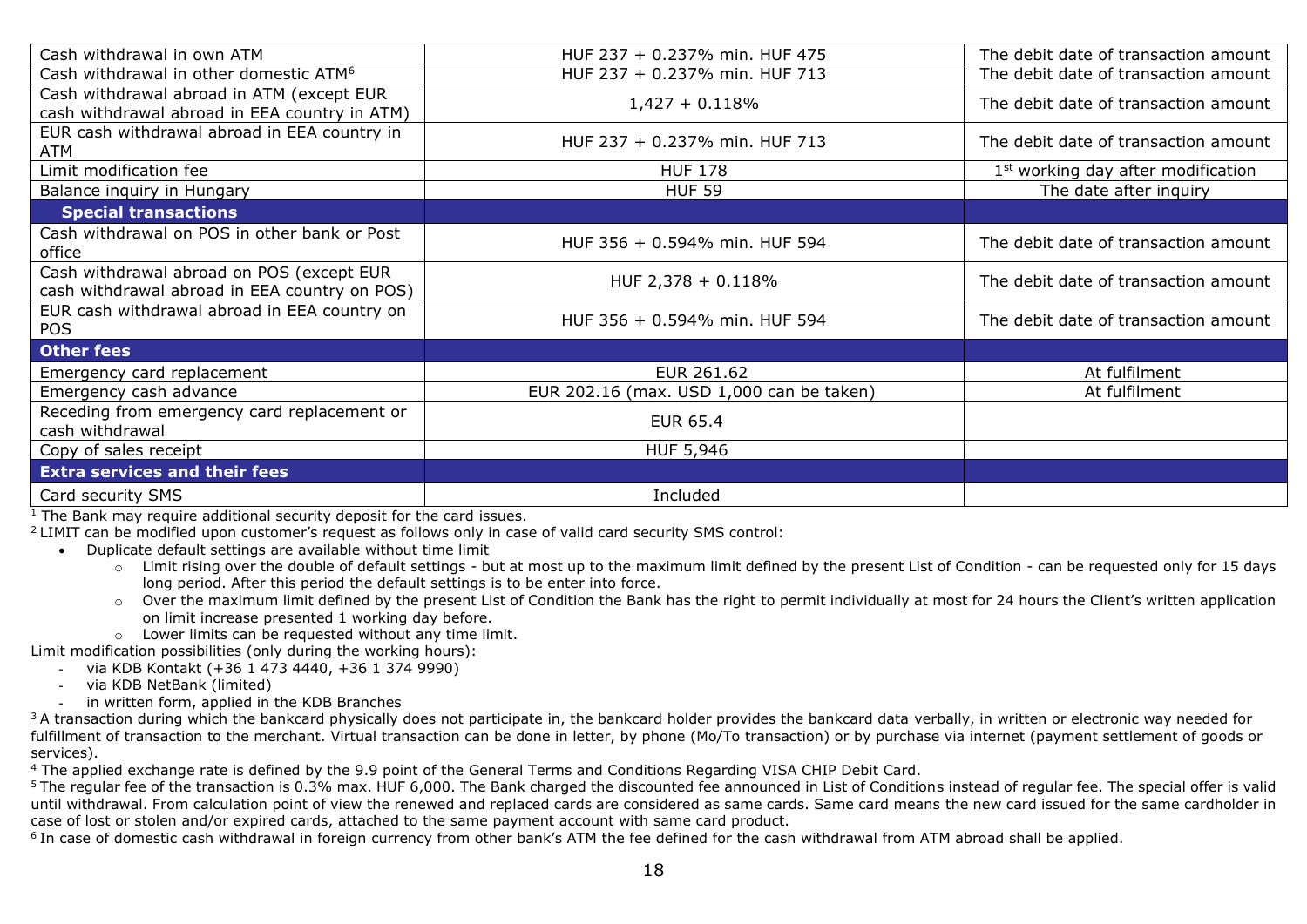| Cash withdrawal in own ATM                                                                 | HUF 237 + 0.237% min. HUF 475            | The debit date of transaction amount           |
|--------------------------------------------------------------------------------------------|------------------------------------------|------------------------------------------------|
| Cash withdrawal in other domestic ATM <sup>6</sup>                                         | HUF 237 + 0.237% min. HUF 713            | The debit date of transaction amount           |
| Cash withdrawal abroad in ATM (except EUR<br>cash withdrawal abroad in EEA country in ATM) | $1,427 + 0.118%$                         | The debit date of transaction amount           |
| EUR cash withdrawal abroad in EEA country in<br>ATM                                        | HUF 237 + 0.237% min. HUF 713            | The debit date of transaction amount           |
| Limit modification fee                                                                     | <b>HUF 178</b>                           | 1 <sup>st</sup> working day after modification |
| Balance inquiry in Hungary                                                                 | <b>HUF 59</b>                            | The date after inquiry                         |
| <b>Special transactions</b>                                                                |                                          |                                                |
| Cash withdrawal on POS in other bank or Post<br>office                                     | HUF 356 + 0.594% min. HUF 594            | The debit date of transaction amount           |
| Cash withdrawal abroad on POS (except EUR<br>cash withdrawal abroad in EEA country on POS) | HUF 2,378 + 0.118%                       | The debit date of transaction amount           |
| EUR cash withdrawal abroad in EEA country on<br><b>POS</b>                                 | HUF 356 + 0.594% min. HUF 594            | The debit date of transaction amount           |
| Other fees                                                                                 |                                          |                                                |
| Emergency card replacement                                                                 | EUR 261.62                               | At fulfilment                                  |
| Emergency cash advance                                                                     | EUR 202.16 (max. USD 1,000 can be taken) | At fulfilment                                  |
| Receding from emergency card replacement or<br>cash withdrawal                             | <b>EUR 65.4</b>                          |                                                |
| Copy of sales receipt                                                                      | HUF 5,946                                |                                                |
| <b>Extra services and their fees</b>                                                       |                                          |                                                |
| Card security SMS                                                                          | Included                                 |                                                |

 $1$  The Bank may require additional security deposit for the card issues.

<sup>2</sup>LIMIT can be modified upon customer's request as follows only in case of valid card security SMS control:

- Duplicate default settings are available without time limit
	- o Limit rising over the double of default settings but at most up to the maximum limit defined by the present List of Condition can be requested only for 15 days long period. After this period the default settings is to be enter into force.
	- o Over the maximum limit defined by the present List of Condition the Bank has the right to permit individually at most for 24 hours the Client's written application on limit increase presented 1 working day before.
	- o Lower limits can be requested without any time limit.

Limit modification possibilities (only during the working hours):

 $-$  via KDB Kontakt (+36 1 473 4440, +36 1 374 9990)

- via KDB NetBank (limited)
- in written form, applied in the KDB Branches

 $3A$  transaction during which the bankcard physically does not participate in, the bankcard holder provides the bankcard data verbally, in written or electronic way needed for fulfillment of transaction to the merchant. Virtual transaction can be done in letter, by phone (Mo/To transaction) or by purchase via internet (payment settlement of goods or services).

<sup>4</sup> The applied exchange rate is defined by the 9.9 point of the General Terms and Conditions Regarding VISA CHIP Debit Card.

<sup>5</sup> The regular fee of the transaction is 0.3% max. HUF 6,000. The Bank charged the discounted fee announced in List of Conditions instead of regular fee. The special offer is valid until withdrawal. From calculation point of view the renewed and replaced cards are considered as same cards. Same card means the new card issued for the same cardholder in case of lost or stolen and/or expired cards, attached to the same payment account with same card product.

<sup>6</sup> In case of domestic cash withdrawal in foreign currency from other bank's ATM the fee defined for the cash withdrawal from ATM abroad shall be applied.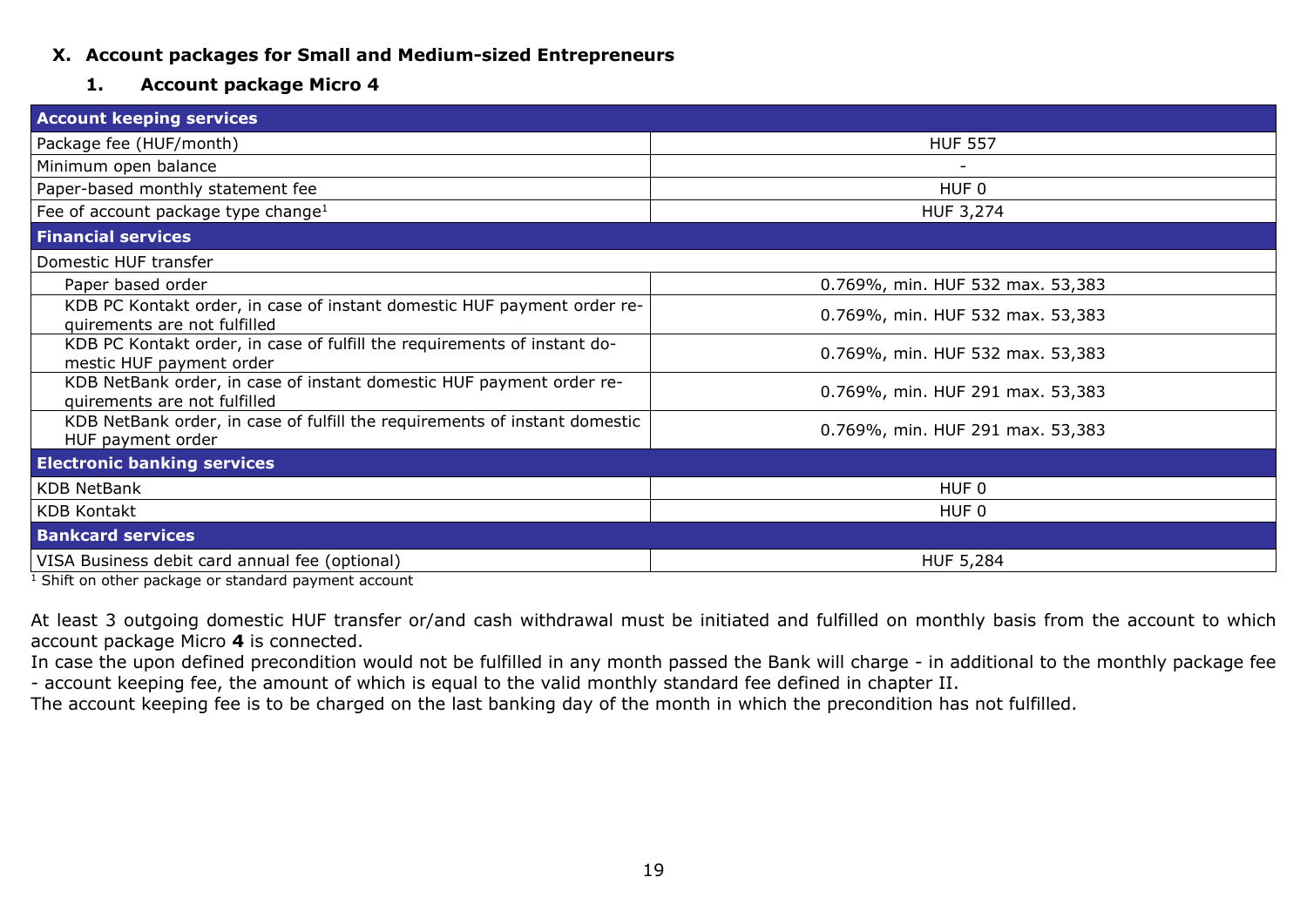# <span id="page-18-0"></span>**X. Account packages for Small and Medium-sized Entrepreneurs**

#### **1. Account package Micro 4**

<span id="page-18-1"></span>

| <b>Account keeping services</b>                                                                         |                                  |
|---------------------------------------------------------------------------------------------------------|----------------------------------|
| Package fee (HUF/month)                                                                                 | <b>HUF 557</b>                   |
| Minimum open balance                                                                                    |                                  |
| Paper-based monthly statement fee                                                                       | HUF 0                            |
| Fee of account package type change <sup>1</sup>                                                         | HUF 3,274                        |
| <b>Financial services</b>                                                                               |                                  |
| Domestic HUF transfer                                                                                   |                                  |
| Paper based order                                                                                       | 0.769%, min. HUF 532 max. 53,383 |
| KDB PC Kontakt order, in case of instant domestic HUF payment order re-<br>quirements are not fulfilled | 0.769%, min. HUF 532 max. 53,383 |
| KDB PC Kontakt order, in case of fulfill the requirements of instant do-<br>mestic HUF payment order    | 0.769%, min. HUF 532 max. 53,383 |
| KDB NetBank order, in case of instant domestic HUF payment order re-<br>quirements are not fulfilled    | 0.769%, min. HUF 291 max. 53,383 |
| KDB NetBank order, in case of fulfill the requirements of instant domestic<br>HUF payment order         | 0.769%, min. HUF 291 max. 53,383 |
| <b>Electronic banking services</b>                                                                      |                                  |
| <b>KDB NetBank</b>                                                                                      | HUF <sub>0</sub>                 |
| <b>KDB Kontakt</b>                                                                                      | HUF <sub>0</sub>                 |
| <b>Bankcard services</b>                                                                                |                                  |
| VISA Business debit card annual fee (optional)                                                          | <b>HUF 5,284</b>                 |

<sup>1</sup> Shift on other package or standard payment account

At least 3 outgoing domestic HUF transfer or/and cash withdrawal must be initiated and fulfilled on monthly basis from the account to which account package Micro **4** is connected.

In case the upon defined precondition would not be fulfilled in any month passed the Bank will charge - in additional to the monthly package fee - account keeping fee, the amount of which is equal to the valid monthly standard fee defined in chapter II.

The account keeping fee is to be charged on the last banking day of the month in which the precondition has not fulfilled.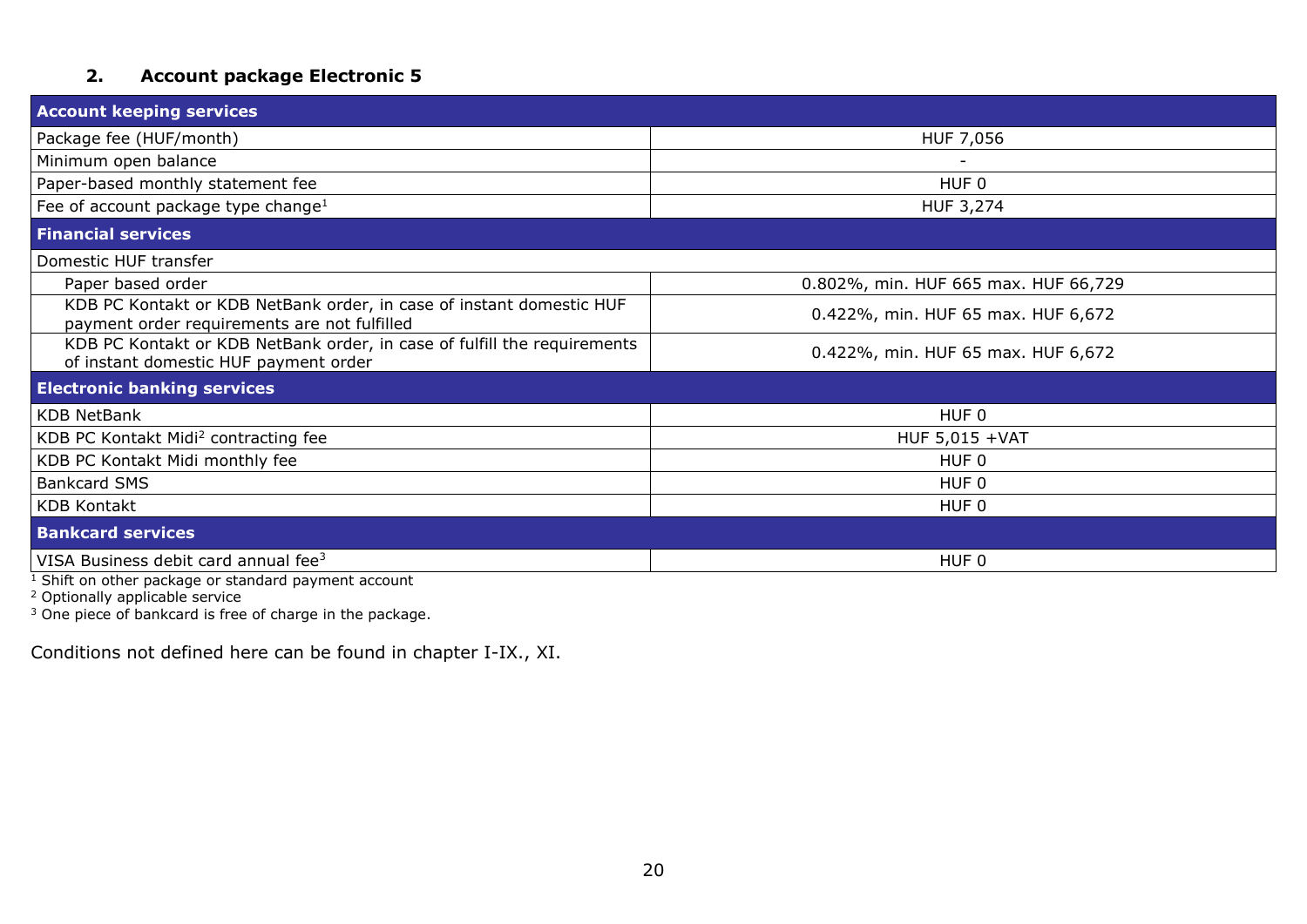# **2. Account package Electronic 5**

<span id="page-19-0"></span>

| <b>Account keeping services</b>                                                                                      |                                      |
|----------------------------------------------------------------------------------------------------------------------|--------------------------------------|
| Package fee (HUF/month)                                                                                              | HUF 7,056                            |
| Minimum open balance                                                                                                 |                                      |
| Paper-based monthly statement fee                                                                                    | HUF 0                                |
| Fee of account package type change <sup>1</sup>                                                                      | HUF 3,274                            |
| <b>Financial services</b>                                                                                            |                                      |
| Domestic HUF transfer                                                                                                |                                      |
| Paper based order                                                                                                    | 0.802%, min. HUF 665 max. HUF 66,729 |
| KDB PC Kontakt or KDB NetBank order, in case of instant domestic HUF<br>payment order requirements are not fulfilled | 0.422%, min. HUF 65 max. HUF 6,672   |
| KDB PC Kontakt or KDB NetBank order, in case of fulfill the requirements<br>of instant domestic HUF payment order    | 0.422%, min. HUF 65 max. HUF 6,672   |
| <b>Electronic banking services</b>                                                                                   |                                      |
| <b>KDB NetBank</b>                                                                                                   | HUF <sub>0</sub>                     |
| KDB PC Kontakt Midi <sup>2</sup> contracting fee                                                                     | HUF 5,015 +VAT                       |
| KDB PC Kontakt Midi monthly fee                                                                                      | HUF <sub>0</sub>                     |
| <b>Bankcard SMS</b>                                                                                                  | HUF <sub>0</sub>                     |
| <b>KDB Kontakt</b>                                                                                                   | HUF <sub>0</sub>                     |
| <b>Bankcard services</b>                                                                                             |                                      |
| VISA Business debit card annual fee <sup>3</sup>                                                                     | HUF 0                                |

 $1$  Shift on other package or standard payment account

<sup>2</sup> Optionally applicable service

 $3$  One piece of bankcard is free of charge in the package.

Conditions not defined here can be found in chapter I-IX., XI.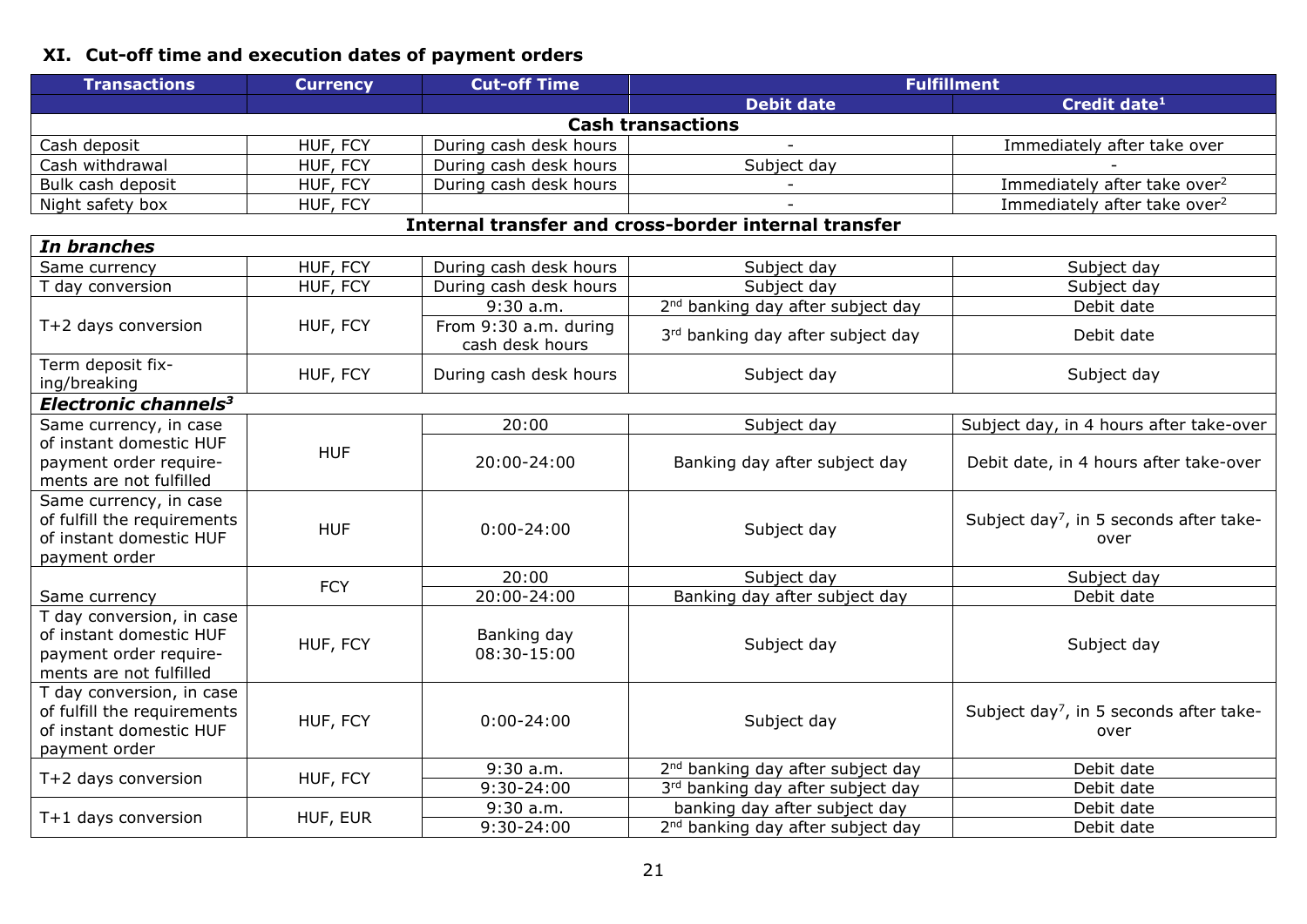# <span id="page-20-0"></span>**XI. Cut-off time and execution dates of payment orders**

| <b>Transactions</b>                                                                                       | <b>Currency</b> | <b>Cut-off Time</b>                        | <b>Fulfillment</b>                                   |                                                             |
|-----------------------------------------------------------------------------------------------------------|-----------------|--------------------------------------------|------------------------------------------------------|-------------------------------------------------------------|
|                                                                                                           |                 |                                            | <b>Debit date</b>                                    | Credit date <sup>1</sup>                                    |
|                                                                                                           |                 |                                            | <b>Cash transactions</b>                             |                                                             |
| Cash deposit                                                                                              | HUF, FCY        | During cash desk hours                     |                                                      | Immediately after take over                                 |
| Cash withdrawal                                                                                           | HUF, FCY        | During cash desk hours                     | Subject day                                          |                                                             |
| Bulk cash deposit                                                                                         | HUF, FCY        | During cash desk hours                     |                                                      | Immediately after take over <sup>2</sup>                    |
| Night safety box                                                                                          | HUF, FCY        |                                            |                                                      | Immediately after take over <sup>2</sup>                    |
|                                                                                                           |                 |                                            | Internal transfer and cross-border internal transfer |                                                             |
| In branches                                                                                               |                 |                                            |                                                      |                                                             |
| Same currency                                                                                             | HUF, FCY        | During cash desk hours                     | Subject day                                          | Subject day                                                 |
| T day conversion                                                                                          | HUF, FCY        | During cash desk hours                     | Subject day                                          | Subject day                                                 |
|                                                                                                           |                 | 9:30 a.m.                                  | 2 <sup>nd</sup> banking day after subject day        | Debit date                                                  |
| T+2 days conversion                                                                                       | HUF, FCY        | From $9:30$ a.m. during<br>cash desk hours | 3rd banking day after subject day                    | Debit date                                                  |
| Term deposit fix-<br>ing/breaking                                                                         | HUF, FCY        | During cash desk hours                     | Subject day                                          | Subject day                                                 |
| Electronic channels <sup>3</sup>                                                                          |                 |                                            |                                                      |                                                             |
| Same currency, in case                                                                                    |                 | 20:00                                      | Subject day                                          | Subject day, in 4 hours after take-over                     |
| of instant domestic HUF<br>payment order require-<br>ments are not fulfilled                              | <b>HUF</b>      | 20:00-24:00                                | Banking day after subject day                        | Debit date, in 4 hours after take-over                      |
| Same currency, in case<br>of fulfill the requirements<br>of instant domestic HUF<br>payment order         | <b>HUF</b>      | $0:00 - 24:00$                             | Subject day                                          | Subject day <sup>7</sup> , in 5 seconds after take-<br>over |
|                                                                                                           | <b>FCY</b>      | 20:00                                      | Subject day                                          | Subject day                                                 |
| Same currency                                                                                             |                 | 20:00-24:00                                | Banking day after subject day                        | Debit date                                                  |
| T day conversion, in case<br>of instant domestic HUF<br>payment order require-<br>ments are not fulfilled | HUF, FCY        | Banking day<br>08:30-15:00                 | Subject day                                          | Subject day                                                 |
| T day conversion, in case<br>of fulfill the requirements<br>of instant domestic HUF<br>payment order      | HUF, FCY        | $0:00 - 24:00$                             | Subject day                                          | Subject day <sup>7</sup> , in 5 seconds after take-<br>over |
| T+2 days conversion                                                                                       | HUF, FCY        | $9:30$ a.m.                                | 2 <sup>nd</sup> banking day after subject day        | Debit date                                                  |
|                                                                                                           |                 | 9:30-24:00                                 | 3rd banking day after subject day                    | Debit date                                                  |
|                                                                                                           |                 | 9:30 a.m.                                  | banking day after subject day                        | Debit date                                                  |
| T+1 days conversion                                                                                       | HUF, EUR        | 9:30-24:00                                 | 2 <sup>nd</sup> banking day after subject day        | Debit date                                                  |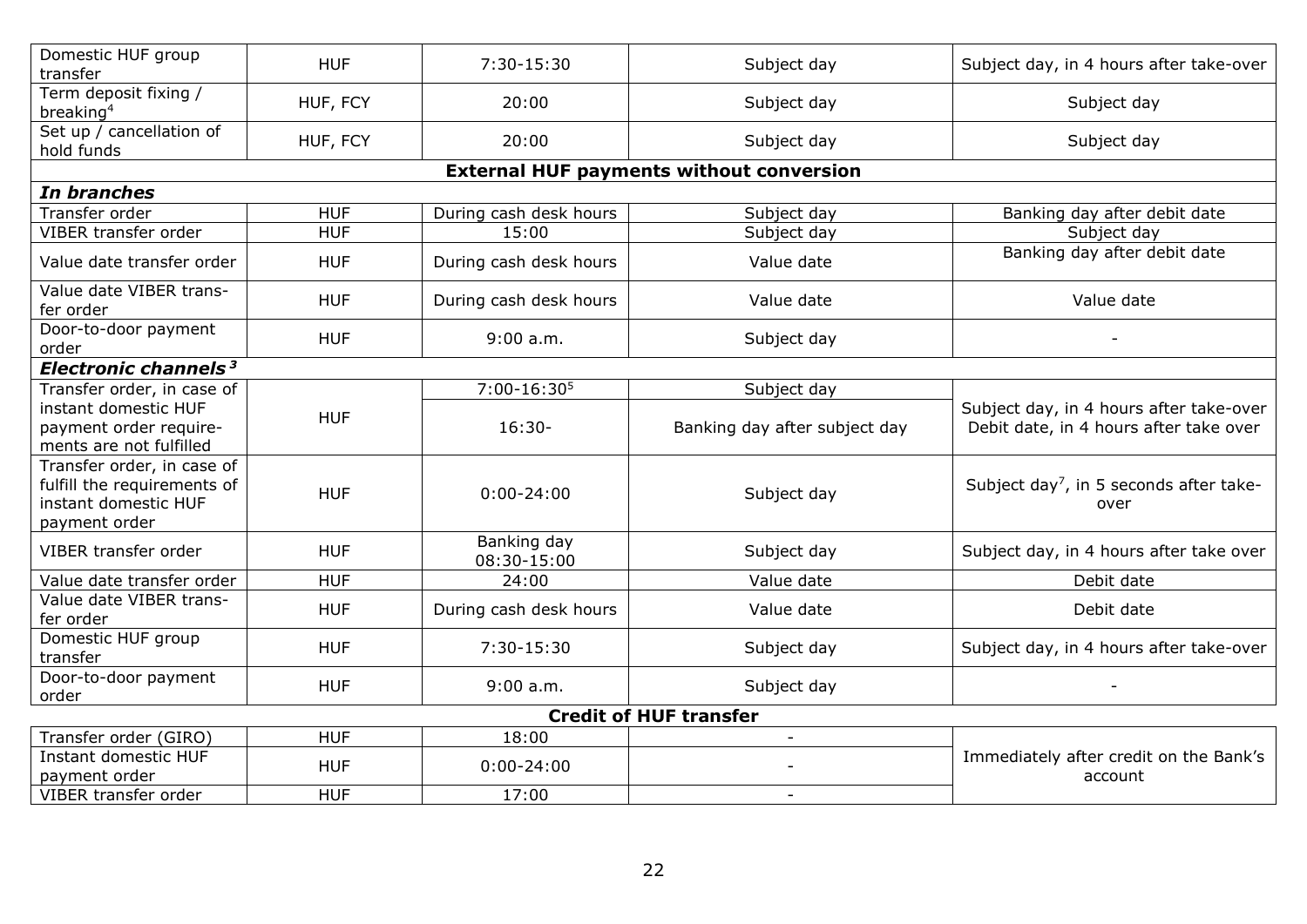| Domestic HUF group<br>transfer                                                                     | <b>HUF</b> | 7:30-15:30                 | Subject day                                     | Subject day, in 4 hours after take-over                                           |
|----------------------------------------------------------------------------------------------------|------------|----------------------------|-------------------------------------------------|-----------------------------------------------------------------------------------|
| Term deposit fixing /<br>breaking <sup>4</sup>                                                     | HUF, FCY   | 20:00                      | Subject day                                     | Subject day                                                                       |
| Set up / cancellation of<br>hold funds                                                             | HUF, FCY   | 20:00                      | Subject day                                     | Subject day                                                                       |
|                                                                                                    |            |                            | <b>External HUF payments without conversion</b> |                                                                                   |
| In branches                                                                                        |            |                            |                                                 |                                                                                   |
| Transfer order                                                                                     | <b>HUF</b> | During cash desk hours     | Subject day                                     | Banking day after debit date                                                      |
| VIBER transfer order                                                                               | <b>HUF</b> | 15:00                      | Subject day                                     | Subject day                                                                       |
| Value date transfer order                                                                          | <b>HUF</b> | During cash desk hours     | Value date                                      | Banking day after debit date                                                      |
| Value date VIBER trans-<br>fer order                                                               | <b>HUF</b> | During cash desk hours     | Value date                                      | Value date                                                                        |
| Door-to-door payment<br>order                                                                      | <b>HUF</b> | 9:00 a.m.                  | Subject day                                     |                                                                                   |
| Electronic channels <sup>3</sup>                                                                   |            |                            |                                                 |                                                                                   |
| Transfer order, in case of                                                                         |            | 7:00-16:30 <sup>5</sup>    | Subject day                                     |                                                                                   |
| instant domestic HUF<br>payment order require-<br>ments are not fulfilled                          | <b>HUF</b> | $16:30-$                   | Banking day after subject day                   | Subject day, in 4 hours after take-over<br>Debit date, in 4 hours after take over |
| Transfer order, in case of<br>fulfill the requirements of<br>instant domestic HUF<br>payment order | <b>HUF</b> | $0:00 - 24:00$             | Subject day                                     | Subject day <sup>7</sup> , in 5 seconds after take-<br>over                       |
| VIBER transfer order                                                                               | <b>HUF</b> | Banking day<br>08:30-15:00 | Subject day                                     | Subject day, in 4 hours after take over                                           |
| Value date transfer order                                                                          | <b>HUF</b> | 24:00                      | Value date                                      | Debit date                                                                        |
| Value date VIBER trans-<br>fer order                                                               | <b>HUF</b> | During cash desk hours     | Value date                                      | Debit date                                                                        |
| Domestic HUF group<br>transfer                                                                     | <b>HUF</b> | 7:30-15:30                 | Subject day                                     | Subject day, in 4 hours after take-over                                           |
| Door-to-door payment<br>order                                                                      | <b>HUF</b> | 9:00 a.m.                  | Subject day                                     |                                                                                   |
|                                                                                                    |            |                            | <b>Credit of HUF transfer</b>                   |                                                                                   |
| Transfer order (GIRO)                                                                              | <b>HUF</b> | 18:00                      | $\overline{\phantom{a}}$                        |                                                                                   |
| Instant domestic HUF<br>payment order                                                              | <b>HUF</b> | $0:00 - 24:00$             |                                                 | Immediately after credit on the Bank's<br>account                                 |
| VIBER transfer order                                                                               | <b>HUF</b> | 17:00                      |                                                 |                                                                                   |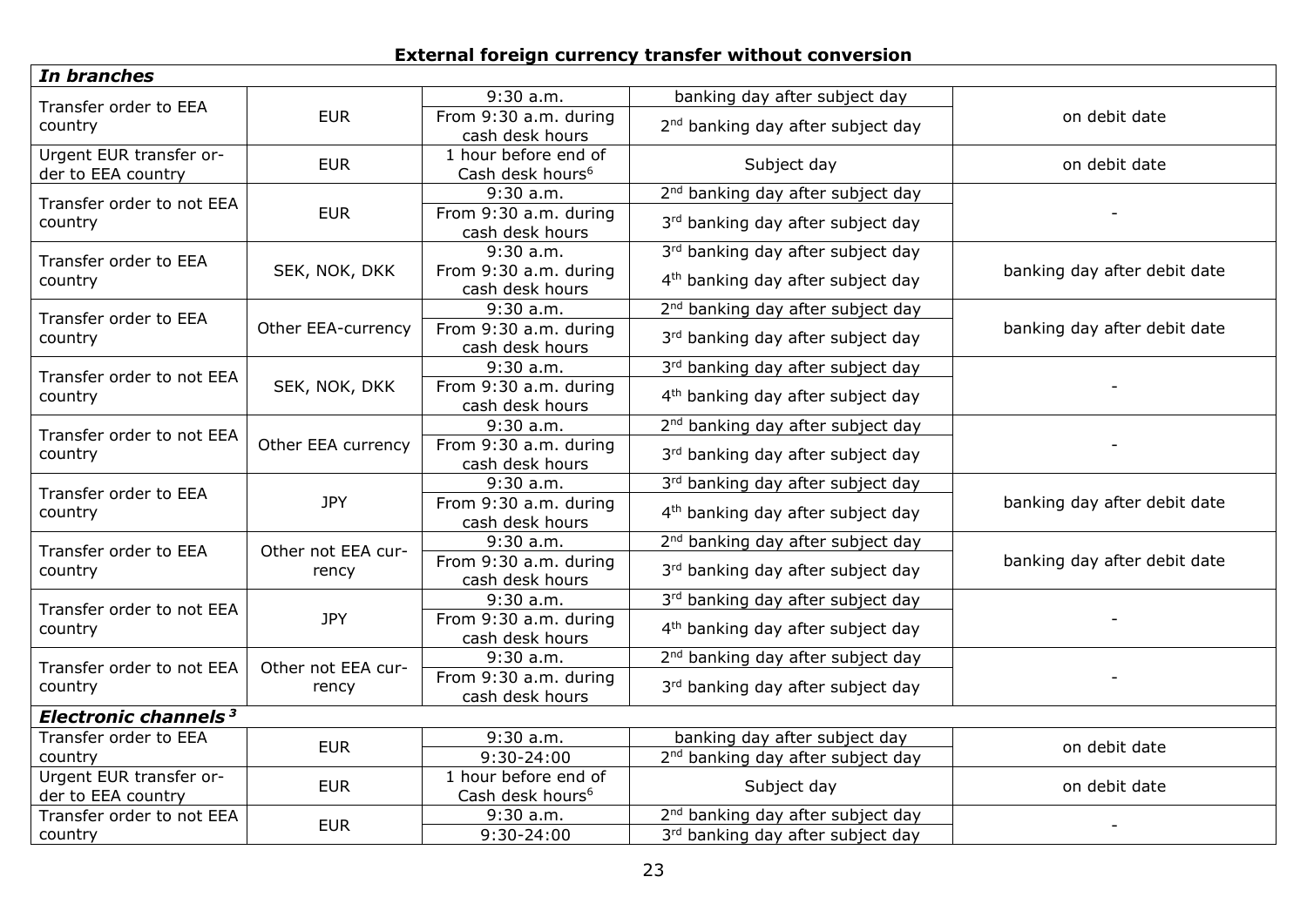# **External foreign currency transfer without conversion**

| In branches                                   |                    |                                                      |                                               |                              |
|-----------------------------------------------|--------------------|------------------------------------------------------|-----------------------------------------------|------------------------------|
| Transfer order to EEA                         |                    | $9:30$ a.m.                                          | banking day after subject day                 |                              |
| country                                       | <b>EUR</b>         | From 9:30 a.m. during                                | 2 <sup>nd</sup> banking day after subject day | on debit date                |
|                                               |                    | cash desk hours                                      |                                               |                              |
| Urgent EUR transfer or-<br>der to EEA country | <b>EUR</b>         | 1 hour before end of<br>Cash desk hours <sup>6</sup> | Subject day                                   | on debit date                |
| Transfer order to not EEA                     |                    | 9:30 a.m.                                            | 2 <sup>nd</sup> banking day after subject day |                              |
| country                                       | <b>EUR</b>         | From 9:30 a.m. during<br>cash desk hours             | 3rd banking day after subject day             |                              |
| Transfer order to EEA                         |                    | $9:30$ a.m.                                          | 3rd banking day after subject day             |                              |
| country                                       | SEK, NOK, DKK      | From 9:30 a.m. during<br>cash desk hours             | 4 <sup>th</sup> banking day after subject day | banking day after debit date |
| Transfer order to EEA                         |                    | $9:30$ a.m.                                          | 2 <sup>nd</sup> banking day after subject day |                              |
| country                                       | Other EEA-currency | From 9:30 a.m. during<br>cash desk hours             | 3rd banking day after subject day             | banking day after debit date |
| Transfer order to not EEA                     |                    | $9:30$ a.m.                                          | 3rd banking day after subject day             |                              |
| country                                       | SEK, NOK, DKK      | From 9:30 a.m. during<br>cash desk hours             | 4 <sup>th</sup> banking day after subject day |                              |
| Transfer order to not EEA                     |                    | $9:30$ a.m.                                          | 2 <sup>nd</sup> banking day after subject day |                              |
| country                                       | Other EEA currency | From 9:30 a.m. during<br>cash desk hours             | 3rd banking day after subject day             |                              |
| Transfer order to EEA                         | <b>JPY</b>         | 9:30 a.m.                                            | 3rd banking day after subject day             | banking day after debit date |
| country                                       |                    | From 9:30 a.m. during<br>cash desk hours             | 4 <sup>th</sup> banking day after subject day |                              |
| Transfer order to EEA                         | Other not EEA cur- | $9:30$ a.m.                                          | 2 <sup>nd</sup> banking day after subject day |                              |
| country                                       | rency              | From 9:30 a.m. during<br>cash desk hours             | 3rd banking day after subject day             | banking day after debit date |
| Transfer order to not EEA                     |                    | 9:30a.m.                                             | 3rd banking day after subject day             |                              |
| country                                       | <b>JPY</b>         | From 9:30 a.m. during<br>cash desk hours             | 4 <sup>th</sup> banking day after subject day |                              |
| Transfer order to not EEA                     | Other not EEA cur- | 9:30 a.m.                                            | 2 <sup>nd</sup> banking day after subject day |                              |
| country                                       | rency              | From 9:30 a.m. during<br>cash desk hours             | 3rd banking day after subject day             |                              |
| Electronic channels <sup>3</sup>              |                    |                                                      |                                               |                              |
| Transfer order to EEA                         | <b>EUR</b>         | 9:30 a.m.                                            | banking day after subject day                 | on debit date                |
| country                                       |                    | $9:30 - 24:00$                                       | 2 <sup>nd</sup> banking day after subject day |                              |
| Urgent EUR transfer or-<br>der to EEA country | <b>EUR</b>         | 1 hour before end of<br>Cash desk hours <sup>6</sup> | Subject day                                   | on debit date                |
| Transfer order to not EEA                     | <b>EUR</b>         | 9:30 a.m.                                            | 2 <sup>nd</sup> banking day after subject day |                              |
| country                                       |                    | $9:30 - 24:00$                                       | 3rd banking day after subject day             |                              |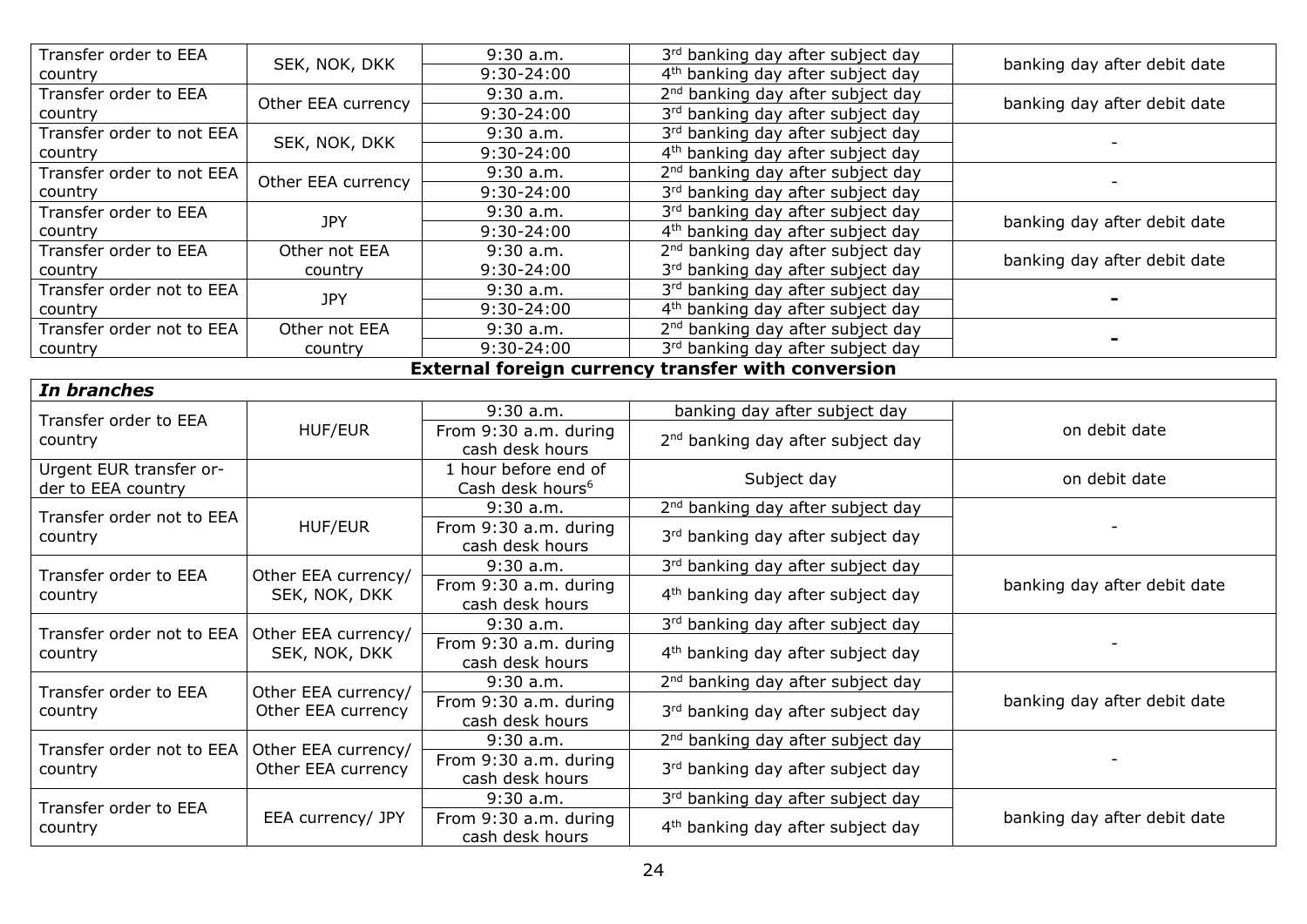| Transfer order to EEA     | SEK, NOK, DKK       | 9:30 a.m.                    | 3rd banking day after subject day                  |                              |  |
|---------------------------|---------------------|------------------------------|----------------------------------------------------|------------------------------|--|
| country                   |                     | 9:30-24:00                   | 4 <sup>th</sup> banking day after subject day      | banking day after debit date |  |
| Transfer order to EEA     | Other EEA currency  | $9:30$ a.m.                  | 2 <sup>nd</sup> banking day after subject day      |                              |  |
| country                   |                     | 9:30-24:00                   | 3rd banking day after subject day                  | banking day after debit date |  |
| Transfer order to not EEA | SEK, NOK, DKK       | $9:30$ a.m.                  | 3rd banking day after subject day                  |                              |  |
| country                   |                     | 9:30-24:00                   | 4 <sup>th</sup> banking day after subject day      |                              |  |
| Transfer order to not EEA | Other EEA currency  | $9:30$ a.m.                  | 2 <sup>nd</sup> banking day after subject day      |                              |  |
| country                   |                     | 9:30-24:00                   | 3rd banking day after subject day                  |                              |  |
| Transfer order to EEA     | <b>JPY</b>          | $9:30$ a.m.                  | 3rd banking day after subject day                  |                              |  |
| country                   |                     | 9:30-24:00                   | 4 <sup>th</sup> banking day after subject day      | banking day after debit date |  |
| Transfer order to EEA     | Other not EEA       | $9:30$ a.m.                  | 2 <sup>nd</sup> banking day after subject day      | banking day after debit date |  |
| country                   | country             | 9:30-24:00                   | 3rd banking day after subject day                  |                              |  |
| Transfer order not to EEA | <b>JPY</b>          | $9:30$ a.m.                  | 3rd banking day after subject day                  |                              |  |
| country                   |                     | 9:30-24:00                   | 4 <sup>th</sup> banking day after subject day      |                              |  |
| Transfer order not to EEA | Other not EEA       | 9:30 a.m.                    | 2 <sup>nd</sup> banking day after subject day      |                              |  |
| country                   | country             | $9:30 - 24:00$               | 3rd banking day after subject day                  |                              |  |
|                           |                     |                              | External foreign currency transfer with conversion |                              |  |
| In branches               |                     |                              |                                                    |                              |  |
|                           |                     | $9:30$ a.m.                  | banking day after subject day                      |                              |  |
| Transfer order to EEA     | HUF/EUR             | From 9:30 a.m. during        |                                                    | on debit date                |  |
| country                   |                     | cash desk hours              | 2 <sup>nd</sup> banking day after subject day      |                              |  |
| Urgent EUR transfer or-   |                     | 1 hour before end of         | Subject day                                        | on debit date                |  |
| der to EEA country        |                     | Cash desk hours <sup>6</sup> |                                                    |                              |  |
| Transfer order not to EEA |                     | 9:30a.m.                     | 2 <sup>nd</sup> banking day after subject day      |                              |  |
| country                   | HUF/EUR             | From 9:30 a.m. during        | 3rd banking day after subject day                  |                              |  |
|                           |                     | cash desk hours              |                                                    |                              |  |
| Transfer order to EEA     | Other EEA currency/ | 9:30 a.m.                    | 3rd banking day after subject day                  |                              |  |
| country                   | SEK, NOK, DKK       | From 9:30 a.m. during        | 4 <sup>th</sup> banking day after subject day      | banking day after debit date |  |
|                           |                     | cash desk hours              |                                                    |                              |  |
| Transfer order not to EEA | Other EEA currency/ | $9:30$ a.m.                  | 3rd banking day after subject day                  |                              |  |
| country                   | SEK, NOK, DKK       | From 9:30 a.m. during        | 4 <sup>th</sup> banking day after subject day      |                              |  |
|                           |                     | cash desk hours              |                                                    |                              |  |
| Transfer order to EEA     | Other EEA currency/ | 9:30a.m.                     | 2 <sup>nd</sup> banking day after subject day      |                              |  |
| country                   | Other EEA currency  | From 9:30 a.m. during        | 3rd banking day after subject day                  | banking day after debit date |  |
|                           |                     | cash desk hours              |                                                    |                              |  |
| Transfer order not to EEA | Other EEA currency/ | $9:30$ a.m.                  | 2 <sup>nd</sup> banking day after subject day      |                              |  |
| country                   | Other EEA currency  | From 9:30 a.m. during        | 3rd banking day after subject day                  |                              |  |
|                           |                     | cash desk hours              |                                                    |                              |  |
| Transfer order to EEA     |                     | $9:30$ a.m.                  | 3rd banking day after subject day                  |                              |  |
|                           | EEA currency/ JPY   | From 9:30 a.m. during        | 4 <sup>th</sup> banking day after subject day      | banking day after debit date |  |
| country                   |                     |                              | cash desk hours                                    |                              |  |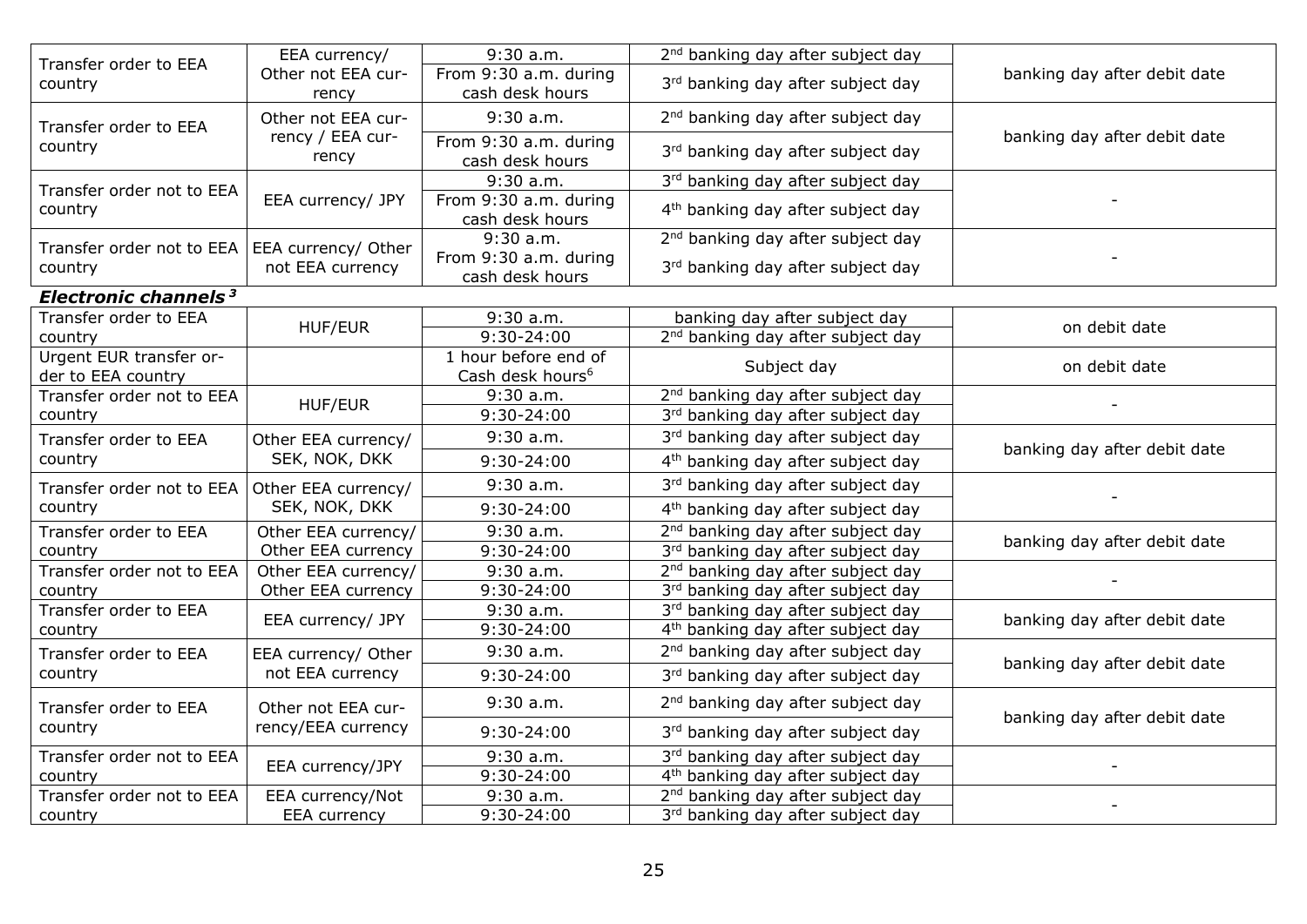| Transfer order to EEA                           | EEA currency/               | $9:30$ a.m.                                          | 2 <sup>nd</sup> banking day after subject day |                              |
|-------------------------------------------------|-----------------------------|------------------------------------------------------|-----------------------------------------------|------------------------------|
| country                                         | Other not EEA cur-<br>rency | From 9:30 a.m. during<br>cash desk hours             | 3rd banking day after subject day             | banking day after debit date |
| Transfer order to EEA                           | Other not EEA cur-          | $9:30$ a.m.                                          | 2 <sup>nd</sup> banking day after subject day |                              |
| country                                         | rency / EEA cur-<br>rency   | From 9:30 a.m. during<br>cash desk hours             | 3rd banking day after subject day             | banking day after debit date |
| Transfer order not to EEA                       |                             | $9:30$ a.m.                                          | 3rd banking day after subject day             |                              |
| country                                         | EEA currency/ JPY           | From 9:30 a.m. during<br>cash desk hours             | 4 <sup>th</sup> banking day after subject day |                              |
| Transfer order not to EEA   EEA currency/ Other |                             | $9:30$ a.m.                                          | 2 <sup>nd</sup> banking day after subject day |                              |
| country                                         | not EEA currency            | From 9:30 a.m. during<br>cash desk hours             | 3rd banking day after subject day             |                              |
| Electronic channels <sup>3</sup>                |                             |                                                      |                                               |                              |
| Transfer order to EEA                           | HUF/EUR                     | $9:30$ a.m.                                          | banking day after subject day                 | on debit date                |
| country                                         |                             | 9:30-24:00                                           | 2 <sup>nd</sup> banking day after subject day |                              |
| Urgent EUR transfer or-<br>der to EEA country   |                             | 1 hour before end of<br>Cash desk hours <sup>6</sup> | Subject day                                   | on debit date                |
| Transfer order not to EEA                       |                             | 9:30 a.m.                                            | 2 <sup>nd</sup> banking day after subject day |                              |
| country                                         | <b>HUF/EUR</b>              | 9:30-24:00                                           | 3rd banking day after subject day             |                              |
| Transfer order to EEA                           | Other EEA currency/         | 9:30a.m.                                             | 3rd banking day after subject day             | banking day after debit date |
| country                                         | SEK, NOK, DKK               | 9:30-24:00                                           | 4 <sup>th</sup> banking day after subject day |                              |
| Transfer order not to EEA                       | Other EEA currency/         | $9:30$ a.m.                                          | 3rd banking day after subject day             |                              |
| country                                         | SEK, NOK, DKK               | 9:30-24:00                                           | 4 <sup>th</sup> banking day after subject day |                              |
| Transfer order to EEA                           | Other EEA currency/         | $9:30$ a.m.                                          | 2 <sup>nd</sup> banking day after subject day | banking day after debit date |
| country                                         | Other EEA currency          | 9:30-24:00                                           | 3rd banking day after subject day             |                              |
| Transfer order not to EEA                       | Other EEA currency/         | $9:30$ a.m.                                          | 2 <sup>nd</sup> banking day after subject day |                              |
| country                                         | Other EEA currency          | 9:30-24:00                                           | 3rd banking day after subject day             |                              |
| Transfer order to EEA                           | EEA currency/ JPY           | $9:30$ a.m.                                          | 3rd banking day after subject day             | banking day after debit date |
| country                                         |                             | 9:30-24:00                                           | 4 <sup>th</sup> banking day after subject day |                              |
| Transfer order to EEA                           | EEA currency/ Other         | $9:30$ a.m.                                          | 2 <sup>nd</sup> banking day after subject day | banking day after debit date |
| country                                         | not EEA currency            | 9:30-24:00                                           | 3rd banking day after subject day             |                              |
| Transfer order to EEA                           | Other not EEA cur-          | $9:30$ a.m.                                          | 2 <sup>nd</sup> banking day after subject day | banking day after debit date |
| country                                         | rency/EEA currency          | 9:30-24:00                                           | 3rd banking day after subject day             |                              |
| Transfer order not to EEA                       | EEA currency/JPY            | $9:30$ a.m.                                          | 3rd banking day after subject day             |                              |
| country                                         |                             | 9:30-24:00                                           | 4 <sup>th</sup> banking day after subject day |                              |
| Transfer order not to EEA                       | EEA currency/Not            | 9:30 a.m.                                            | 2 <sup>nd</sup> banking day after subject day |                              |
| country                                         | <b>EEA</b> currency         | 9:30-24:00                                           | 3rd banking day after subject day             |                              |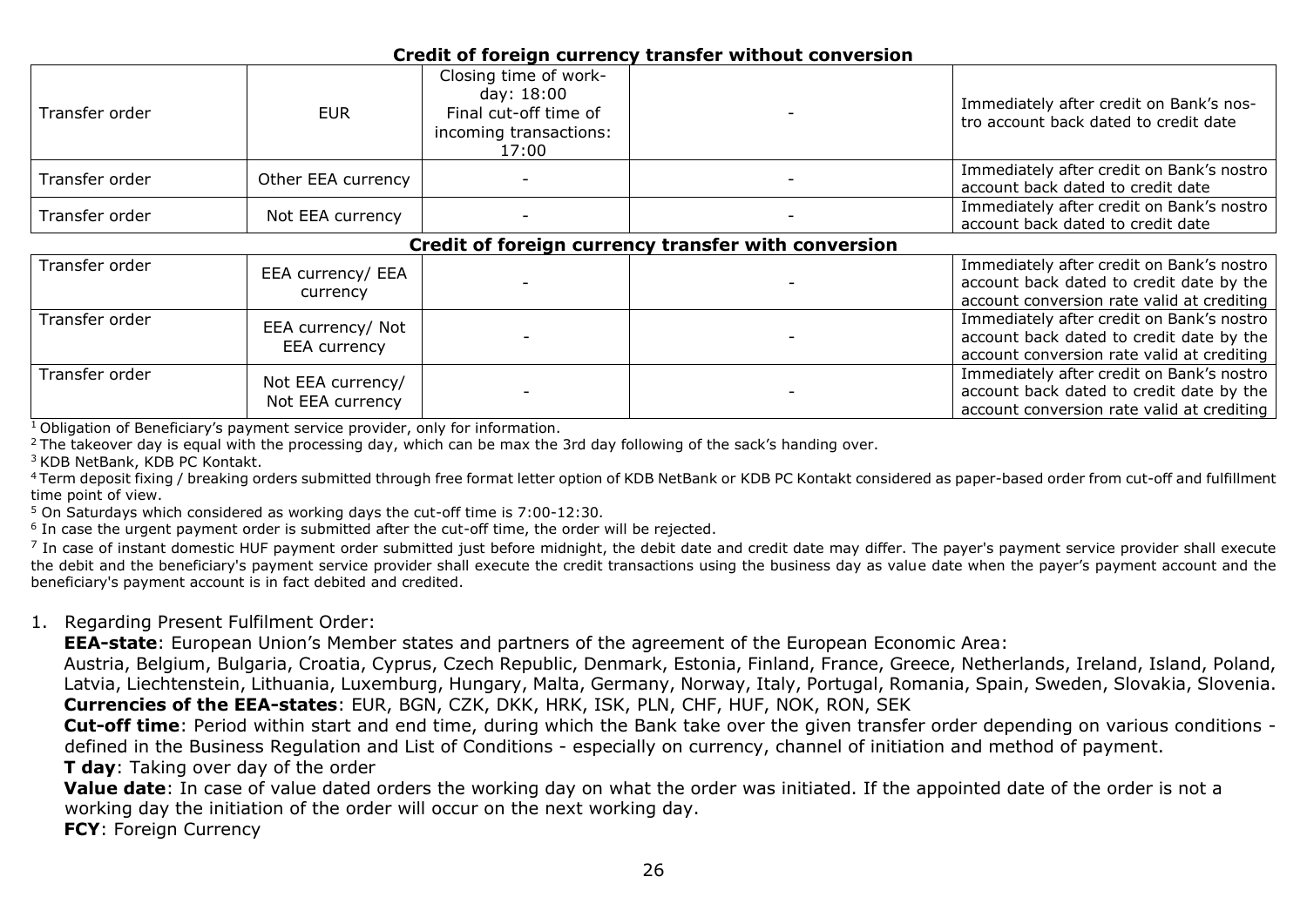#### **Credit of foreign currency transfer without conversion**

| Transfer order | EUR.               | Closing time of work-<br>day: 18:00<br>Final cut-off time of<br>incoming transactions:<br>17:00 | Immediately after credit on Bank's nos-<br>tro account back dated to credit date |
|----------------|--------------------|-------------------------------------------------------------------------------------------------|----------------------------------------------------------------------------------|
| Transfer order | Other EEA currency |                                                                                                 | Immediately after credit on Bank's nostro<br>account back dated to credit date   |
| Transfer order | Not EEA currency   |                                                                                                 | Immediately after credit on Bank's nostro<br>account back dated to credit date   |

#### **Credit of foreign currency transfer with conversion**

| Transfer order | EEA currency/ EEA<br>currency         |  | Immediately after credit on Bank's nostro<br>account back dated to credit date by the<br>account conversion rate valid at crediting |
|----------------|---------------------------------------|--|-------------------------------------------------------------------------------------------------------------------------------------|
| Transfer order | EEA currency/ Not<br>EEA currency     |  | Immediately after credit on Bank's nostro<br>account back dated to credit date by the<br>account conversion rate valid at crediting |
| Transfer order | Not EEA currency/<br>Not EEA currency |  | Immediately after credit on Bank's nostro<br>account back dated to credit date by the<br>account conversion rate valid at crediting |

 $1$ Obligation of Beneficiary's payment service provider, only for information.

<sup>2</sup> The takeover day is equal with the processing day, which can be max the 3rd day following of the sack's handing over.

<sup>3</sup> KDB NetBank, KDB PC Kontakt.

<sup>4</sup>Term deposit fixing / breaking orders submitted through free format letter option of KDB NetBank or KDB PC Kontakt considered as paper-based order from cut-off and fulfillment time point of view.

 $5$  On Saturdays which considered as working days the cut-off time is  $7:00-12:30$ .

<sup>6</sup> In case the urgent payment order is submitted after the cut-off time, the order will be rejected.

 $^7$  In case of instant domestic HUF payment order submitted just before midnight, the debit date and credit date may differ. The payer's payment service provider shall execute the debit and the beneficiary's payment service provider shall execute the credit transactions using the business day as value date when the payer's payment account and the beneficiary's payment account is in fact debited and credited.

#### 1. Regarding Present Fulfilment Order:

**EEA-state**: European Union's Member states and partners of the agreement of the European Economic Area:

Austria, Belgium, Bulgaria, Croatia, Cyprus, Czech Republic, Denmark, Estonia, Finland, France, Greece, Netherlands, Ireland, Island, Poland, Latvia, Liechtenstein, Lithuania, Luxemburg, Hungary, Malta, Germany, Norway, Italy, Portugal, Romania, Spain, Sweden, Slovakia, Slovenia. **Currencies of the EEA-states**: EUR, BGN, CZK, DKK, HRK, ISK, PLN, CHF, HUF, NOK, RON, SEK

**Cut-off time**: Period within start and end time, during which the Bank take over the given transfer order depending on various conditions defined in the Business Regulation and List of Conditions - especially on currency, channel of initiation and method of payment.

**T day**: Taking over day of the order

**Value date**: In case of value dated orders the working day on what the order was initiated. If the appointed date of the order is not a working day the initiation of the order will occur on the next working day.

**FCY**: Foreign Currency